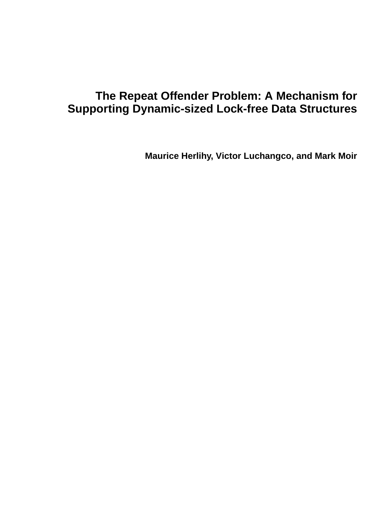# **The Repeat Offender Problem: A Mechanism for Supporting Dynamic-sized Lock-free Data Structures**

**Maurice Herlihy, Victor Luchangco, and Mark Moir**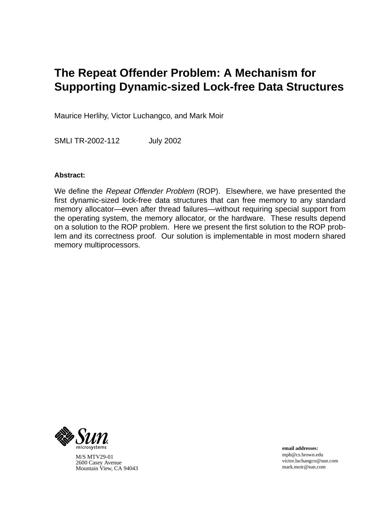# **The Repeat Offender Problem: A Mechanism for Supporting Dynamic-sized Lock-free Data Structures**

Maurice Herlihy, Victor Luchangco, and Mark Moir

SMLI TR-2002-112 July 2002

### **Abstract:**

We define the Repeat Offender Problem (ROP). Elsewhere, we have presented the first dynamic-sized lock-free data structures that can free memory to any standard memory allocator—even after thread failures—without requiring special support from the operating system, the memory allocator, or the hardware. These results depend on a solution to the ROP problem. Here we present the first solution to the ROP problem and its correctness proof. Our solution is implementable in most modern shared memory multiprocessors.



M/S MTV29-01 2600 Casey Avenue Mountain View, CA 94043 **email addresses:** mph@cs.brown.edu victor.luchangco@sun.com mark.moir@sun.com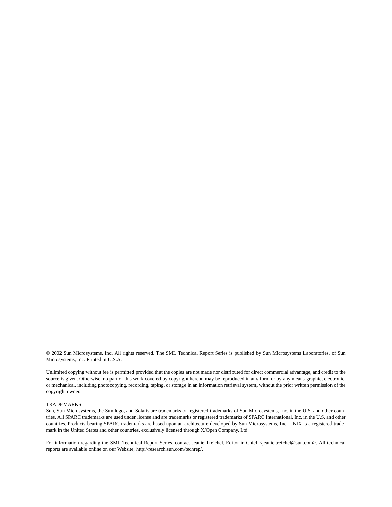© 2002 Sun Microsystems, Inc. All rights reserved. The SML Technical Report Series is published by Sun Microsystems Laboratories, of Sun Microsystems, Inc. Printed in U.S.A.

Unlimited copying without fee is permitted provided that the copies are not made nor distributed for direct commercial advantage, and credit to the source is given. Otherwise, no part of this work covered by copyright hereon may be reproduced in any form or by any means graphic, electronic, or mechanical, including photocopying, recording, taping, or storage in an information retrieval system, without the prior written permission of the copyright owner.

#### TRADEMARKS

Sun, Sun Microsystems, the Sun logo, and Solaris are trademarks or registered trademarks of Sun Microsystems, Inc. in the U.S. and other countries. All SPARC trademarks are used under license and are trademarks or registered trademarks of SPARC International, Inc. in the U.S. and other countries. Products bearing SPARC trademarks are based upon an architecture developed by Sun Microsystems, Inc. UNIX is a registered trademark in the United States and other countries, exclusively licensed through X/Open Company, Ltd.

For information regarding the SML Technical Report Series, contact Jeanie Treichel, Editor-in-Chief <jeanie.treichel@sun.com>. All technical reports are available online on our Website, http://research.sun.com/techrep/.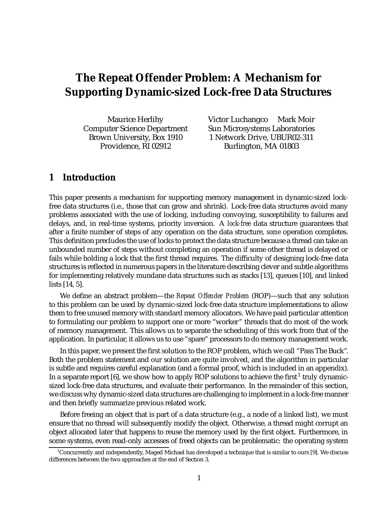# **The Repeat Offender Problem: A Mechanism for Supporting Dynamic-sized Lock-free Data Structures**

Maurice Herlihy Computer Science Department Brown University, Box 1910 Providence, RI 02912

Victor Luchangco Mark Moir Sun Microsystems Laboratories 1 Network Drive, UBUR02-311 Burlington, MA 01803

## **1 Introduction**

This paper presents a mechanism for supporting memory management in dynamic-sized lockfree data structures (i.e., those that can grow and shrink). Lock-free data structures avoid many problems associated with the use of locking, including convoying, susceptibility to failures and delays, and, in real-time systems, priority inversion. A *lock-free* data structure guarantees that after a finite number of steps of any operation on the data structure, *some* operation completes. This definition precludes the use of locks to protect the data structure because a thread can take an unbounded number of steps without completing an operation if some other thread is delayed or fails while holding a lock that the first thread requires. The difficulty of designing lock-free data structures is reflected in numerous papers in the literature describing clever and subtle algorithms for implementing relatively mundane data structures such as stacks [13], queues [10], and linked lists [14, 5].

We define an abstract problem—the *Repeat Offender Problem* (ROP)—such that any solution to this problem can be used by dynamic-sized lock-free data structure implementations to allow them to free unused memory with standard memory allocators. We have paid particular attention to formulating our problem to support one or more "worker" threads that do most of the work of memory management. This allows us to separate the scheduling of this work from that of the application. In particular, it allows us to use "spare" processors to do memory management work.

In this paper, we present the first solution to the ROP problem, which we call "Pass The Buck". Both the problem statement and our solution are quite involved, and the algorithm in particular is subtle and requires careful explanation (and a formal proof, which is included in an appendix). In a separate report [6], we show how to apply ROP solutions to achieve the first<sup>1</sup> truly dynamicsized lock-free data structures, and evaluate their performance. In the remainder of this section, we discuss why dynamic-sized data structures are challenging to implement in a lock-free manner and then briefly summarize previous related work.

Before freeing an object that is part of a data structure (e.g., a node of a linked list), we must ensure that no thread will subsequently modify the object. Otherwise, a thread might corrupt an object allocated later that happens to reuse the memory used by the first object. Furthermore, in some systems, even read-only accesses of freed objects can be problematic: the operating system

 $^1$ Concurrently and independently, Maged Michael has developed a technique that is similar to ours [9]. We discuss differences between the two approaches at the end of Section 3.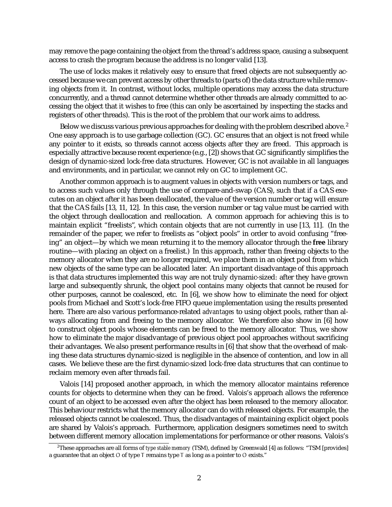may remove the page containing the object from the thread's address space, causing a subsequent access to crash the program because the address is no longer valid [13].

The use of locks makes it relatively easy to ensure that freed objects are not subsequently accessed because we can prevent access by other threads to (parts of) the data structure while removing objects from it. In contrast, without locks, multiple operations may access the data structure concurrently, and a thread cannot determine whether other threads are already committed to accessing the object that it wishes to free (this can only be ascertained by inspecting the stacks and registers of other threads). This is the root of the problem that our work aims to address.

Below we discuss various previous approaches for dealing with the problem described above.<sup>2</sup> One easy approach is to use garbage collection (GC). GC ensures that an object is not freed while any pointer to it exists, so threads cannot access objects after they are freed. This approach is especially attractive because recent experience (e.g., [2]) shows that GC significantly simplifies the design of dynamic-sized lock-free data structures. However, GC is not available in all languages and environments, and in particular, we cannot rely on GC to implement GC.

Another common approach is to augment values in objects with version numbers or tags, and to access such values only through the use of compare-and-swap (CAS), such that if a CAS executes on an object after it has been deallocated, the value of the version number or tag will ensure that the CAS fails [13, 11, 12]. In this case, the version number or tag value must be carried with the object through deallocation and reallocation. A common approach for achieving this is to maintain explicit "freelists", which contain objects that are not currently in use [13, 11]. (In the remainder of the paper, we refer to freelists as "object pools" in order to avoid confusing "freeing" an object—by which we mean returning it to the memory allocator through the **free** library routine—with placing an object on a freelist.) In this approach, rather than freeing objects to the memory allocator when they are no longer required, we place them in an object pool from which new objects of the same type can be allocated later. An important disadvantage of this approach is that data structures implemented this way are not truly dynamic-sized: after they have grown large and subsequently shrunk, the object pool contains many objects that cannot be reused for other purposes, cannot be coalesced, etc. In [6], we show how to eliminate the need for object pools from Michael and Scott's lock-free FIFO queue implementation using the results presented here. There are also various performance-related *advantages* to using object pools, rather than always allocating from and freeing to the memory allocator. We therefore also show in [6] how to construct object pools whose elements can be freed to the memory allocator. Thus, we show how to eliminate the major disadvantage of previous object pool approaches without sacrificing their advantages. We also present performance results in [6] that show that the overhead of making these data structures dynamic-sized is negligible in the absence of contention, and low in all cases. We believe these are the first dynamic-sized lock-free data structures that can continue to reclaim memory even after threads fail.

Valois [14] proposed another approach, in which the memory allocator maintains reference counts for objects to determine when they can be freed. Valois's approach allows the reference count of an object to be accessed even after the object has been released to the memory allocator. This behaviour restricts what the memory allocator can do with released objects. For example, the released objects cannot be coalesced. Thus, the disadvantages of maintaining explicit object pools are shared by Valois's approach. Furthermore, application designers sometimes need to switch between different memory allocation implementations for performance or other reasons. Valois's

<sup>2</sup> These approaches are all forms of *type stable memory* (TSM), defined by Greenwald [4] as follows: "TSM [provides] a guarantee that an object O of type T remains type T as long as a pointer to O exists."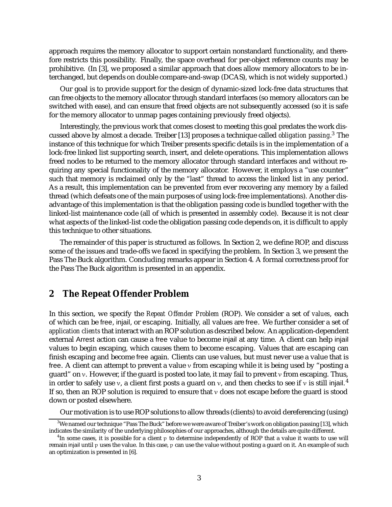approach requires the memory allocator to support certain nonstandard functionality, and therefore restricts this possibility. Finally, the space overhead for per-object reference counts may be prohibitive. (In [3], we proposed a similar approach that does allow memory allocators to be interchanged, but depends on double compare-and-swap (DCAS), which is not widely supported.)

Our goal is to provide support for the design of dynamic-sized lock-free data structures that can free objects to the memory allocator through standard interfaces (so memory allocators can be switched with ease), and can ensure that freed objects are not subsequently accessed (so it is safe for the memory allocator to unmap pages containing previously freed objects).

Interestingly, the previous work that comes closest to meeting this goal predates the work discussed above by almost a decade. Treiber [13] proposes a technique called *obligation passing*. <sup>3</sup> The instance of this technique for which Treiber presents specific details is in the implementation of a lock-free linked list supporting search, insert, and delete operations. This implementation allows freed nodes to be returned to the memory allocator through standard interfaces and without requiring any special functionality of the memory allocator. However, it employs a "use counter" such that memory is reclaimed only by the "last" thread to access the linked list in any period. As a result, this implementation can be prevented from ever recovering any memory by a failed thread (which defeats one of the main purposes of using lock-free implementations). Another disadvantage of this implementation is that the obligation passing code is bundled together with the linked-list maintenance code (all of which is presented in assembly code). Because it is not clear what aspects of the linked-list code the obligation passing code depends on, it is difficult to apply this technique to other situations.

The remainder of this paper is structured as follows. In Section 2, we define ROP, and discuss some of the issues and trade-offs we faced in specifying the problem. In Section 3, we present the Pass The Buck algorithm. Concluding remarks appear in Section 4. A formal correctness proof for the Pass The Buck algorithm is presented in an appendix.

## **2 The Repeat Offender Problem**

In this section, we specify the *Repeat Offender Problem* (ROP). We consider a set of *values*, each of which can be free, injail, or escaping. Initially, all values are free. We further consider a set of *application clients* that interact with an ROP solution as described below. An application-dependent external Arrest action can cause a free value to become injail at any time. A client can help injail values to begin escaping, which causes them to become escaping. Values that are escaping can finish escaping and become free again. Clients can use values, but must never use a value that is free. A client can attempt to prevent a value v from escaping while it is being used by "posting a guard" on  $\nu$ . However, if the guard is posted too late, it may fail to prevent  $\nu$  from escaping. Thus, in order to safely use  $v$ , a client first posts a guard on  $v$ , and then checks to see if  $v$  is still injail.<sup>4</sup><br>If so, then an ROB solution is required to ensure that  $v$  does not escape before the quard is stood. If so, then an ROP solution is required to ensure that  $\nu$  does not escape before the guard is stood down or posted elsewhere.

Our motivation is to use ROP solutions to allow threads (clients) to avoid dereferencing (using)

 $^3$ We named our technique "Pass The Buck" before we were aware of Treiber's work on obligation passing [13], which indicates the similarity of the underlying philosophies of our approaches, although the details are quite different.

<sup>&</sup>lt;sup>4</sup>In some cases, it is possible for a client p to determine independently of ROP that a value it wants to use will<br>asin inial until a uses the value. In this case, a can use the value without posting a guard on it. An ex remain injail until p uses the value. In this case, p can use the value without posting a guard on it. An example of such an optimization is presented in [6].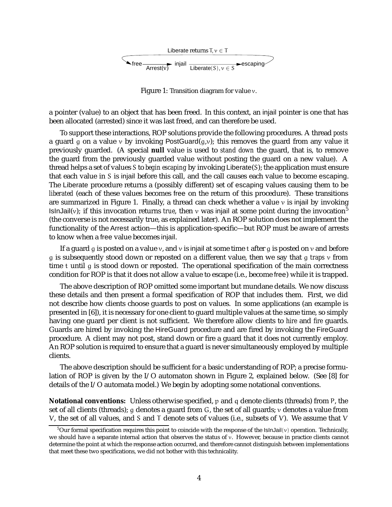

Figure 1: Transition diagram for value v.

a pointer (value) to an object that has been freed. In this context, an injail pointer is one that has been allocated (arrested) since it was last freed, and can therefore be used.

To support these interactions, ROP solutions provide the following procedures. A thread *posts* a guard g on a value v by invoking PostGuard $(q, v)$ ; this removes the guard from any value it previously guarded. (A special **null** value is used to *stand down* the guard, that is, to remove the guard from the previously guarded value without posting the guard on a new value). A thread helps a set of values S to *begin escaping* by invoking Liberate(S); the application must ensure that each value in S is injail before this call, and the call causes each value to become escaping. The Liberate procedure returns a (possibly different) set of escaping values causing them to be *liberated* (each of these values becomes free on the return of this procedure). These transitions are summarized in Figure 1. Finally, a thread can check whether a value  $\nu$  is injail by invoking IslnJail(v); if this invocation returns *true*, then v was injail at some point during the invocation<sup>5</sup> (the converse is not necessarily true, as explained later). An ROP solution does not implement the functionality of the Arrest action—this is application-specific—but ROP must be aware of arrests to know when a free value becomes injail.

If a guard g is posted on a value v, and v is injail at some time t after g is posted on v and before g is subsequently stood down or reposted on a different value, then we say that g *traps* v from time t until g is stood down or reposted. The operational specification of the main correctness condition for ROP is that it does not allow a value to escape (i.e., become free) while it is trapped.

The above description of ROP omitted some important but mundane details. We now discuss these details and then present a formal specification of ROP that includes them. First, we did not describe how clients choose guards to post on values. In some applications (an example is presented in [6]), it is necessary for one client to guard multiple values at the same time, so simply having one guard per client is not sufficient. We therefore allow clients to *hire* and *fire* guards. Guards are hired by invoking the HireGuard procedure and are fired by invoking the FireGuard procedure. A client may not post, stand down or fire a guard that it does not currently employ. An ROP solution is required to ensure that a guard is never simultaneously employed by multiple clients.

The above description should be sufficient for a basic understanding of ROP; a precise formulation of ROP is given by the I/O automaton shown in Figure 2, explained below. (See [8] for details of the I/O automata model.) We begin by adopting some notational conventions.

**Notational conventions:** Unless otherwise specified, p and q denote clients (threads) from P, the set of all clients (threads); g denotes a guard from G, the set of all guards; v denotes a value from V, the set of all values, and S and T denote sets of values (i.e., subsets of V). We assume that V

<sup>&</sup>lt;sup>5</sup>Our formal specification requires this point to coincide with the response of the IsInJail(v) operation. Technically, should have a senarate internal action that observes the status of y. However, because in practice c we should have a separate internal action that observes the status of v. However, because in practice clients cannot determine the point at which the response action occurred, and therefore cannot distinguish between implementations that meet these two specifications, we did not bother with this technicality.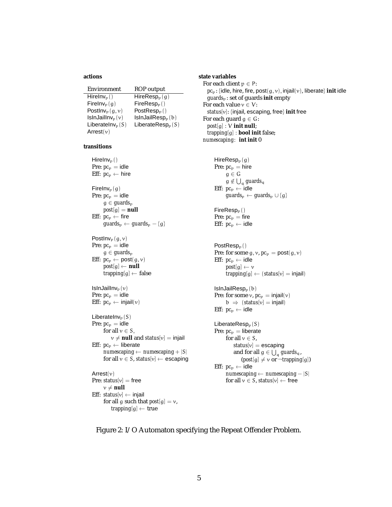#### **actions**

| Environment                                                                      | ROP output                                               |
|----------------------------------------------------------------------------------|----------------------------------------------------------|
| $\text{HireInv}_{p}()$                                                           | HireResp <sub>p</sub> (g)                                |
| $\mathsf{FireInv}_{p}(g)$                                                        | $FireResp_p()$                                           |
| Postlnv <sub>p</sub> $(g, v)$                                                    | $PostResp_p()$                                           |
| IslnJaillnv <sub>p</sub> $(v)$                                                   | $\textsf{IsInJailResp}_p(b)$                             |
| Liberateln $v_p(S)$                                                              | LiberateResp <sub>p</sub> $(S)$                          |
| Arrest( $v$ )                                                                    |                                                          |
| transitions                                                                      |                                                          |
| $\text{HireInv}_{p}()$                                                           |                                                          |
| Pre: $pc_p =$ idle                                                               |                                                          |
| Eff: $pc_p \leftarrow$ hire                                                      |                                                          |
| $FireInv_{p}(g)$                                                                 |                                                          |
| Pre: $pc_p =$ idle                                                               |                                                          |
| $g\in\textit{guards}_{\textit{p}}$                                               |                                                          |
| $post[g] = null$                                                                 |                                                          |
| Eff: $pc_p \leftarrow$ fire                                                      |                                                          |
|                                                                                  | $\mathbf{guards_p} \leftarrow \mathbf{guards_p} - \{g\}$ |
| Postlnv <sub>p</sub> $(g, v)$                                                    |                                                          |
| Pre: $pc_p =$ idle                                                               |                                                          |
| $g \in \text{guards}_p$                                                          |                                                          |
| Eff: $pc_p \leftarrow post(g, v)$                                                |                                                          |
| $post[g] \leftarrow null$                                                        |                                                          |
| <i>trapping</i> [g] $\leftarrow$ false                                           |                                                          |
| IslnJaillnv <sub>p</sub> $(v)$                                                   |                                                          |
| Pre: $pc_p =$ idle                                                               |                                                          |
| Eff: $pc_p \leftarrow \text{injail}(v)$                                          |                                                          |
| LiberateIn $v_p(S)$                                                              |                                                          |
| Pre: $pc_p =$ idle                                                               |                                                          |
| for all $v \in S$ ,                                                              |                                                          |
|                                                                                  | $v \neq \textbf{null}$ and status[v] = injail            |
| Eff: $pc_{p} \leftarrow$ liberate                                                |                                                          |
|                                                                                  | $numescaping \leftarrow numescaping +  S $               |
|                                                                                  | for all $v \in S$ , status[v] $\leftarrow$ escaping      |
| Arrest(v)                                                                        |                                                          |
| $\mathbf{p}_{\mathbf{r}\alpha}$ etatuen $\mathbf{r} = \mathbf{r}_{\alpha\alpha}$ |                                                          |

Pre:  $status[v] = free$ <br> $v \neq null$  $v \neq \textbf{null}$ Eff: *status*[v] <sup>←</sup> injail for all g such that  $post[g] = v$ , *trapping*[g] <sup>←</sup> true

## **state variables** For each client  $p \in P$ :  $pc_p$ : {idle, hire, fire, post(g, v), injail(v), liberate} **init** idle *guards*p: set of guards **init** empty For each value  $v \in V$ : *status*[v]: {injail, escaping, free} **init** free For each guard  $g \in G$ : *post*[g] : V **init null**; *trapping*[g] : **bool init** false; *numescaping*: **int init** 0 HireResp<sub>p</sub> $(g)$ Pre:  $pc_p =$  hire  $g \in G$  $g \notin \bigcup_{q} \mathit{guards}_q$ Eff:  $pc_p \leftarrow$  idle  $\mathbf{g}$ *uards*<sub>p</sub>  $\cup$  {g}  $FireResp<sub>p</sub>()$ Pre:  $pc_p =$  fire Eff:  $pc_p \leftarrow$  idle PostResp<sub>p</sub>() Pre: for some  $g, v, pc_p = \text{post}(g, v)$

Eff:  $pc_p \leftarrow$  idle  $post[q] \leftarrow v$  $trapping[g] \leftarrow (status[v] = injail)$ IsInJailRespp(b) Pre: for some  $v$ ,  $pc_p = \text{injail}(v)$  $b \Rightarrow (status[v] = injail)$ Eff:  $pc_{p} \leftarrow$  idle Liberate $\mathsf{Resp}_p(S)$ Pre:  $pc_p$  = liberate for all  $v \in S$ , *status*[v] = escaping and for all  $g \in \bigcup_{q} \mathit{guards}_q$ ,<br>(post[a]  $\neq y$  or  $\exists$  trapping *(post* $[g]  $\neq$  v or  $\neg$ *trapping*[g])$ Eff:  $pc_p \leftarrow$  idle

```
numescaping ← numescaping − |S|
for all v \in S, status[v] \leftarrow free
```
Figure 2: I/O Automaton specifying the Repeat Offender Problem.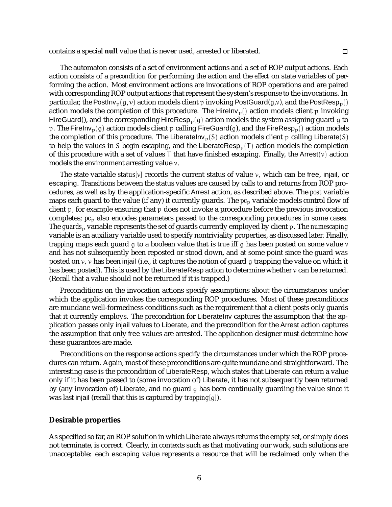contains a special **null** value that is never used, arrested or liberated.

 $\Box$ 

The automaton consists of a set of environment actions and a set of ROP output actions. Each action consists of a *precondition* for performing the action and the *effect* on state variables of performing the action. Most environment actions are invocations of ROP operations and are paired with corresponding ROP output actions that represent the system's response to the invocations. In particular, the Postlnv<sub>p</sub>(g, v) action models client p invoking PostGuard(g,v), and the PostResp<sub>p</sub>() action models the completion of this procedure. The HireInv<sub>p</sub>() action models client p invoking HireGuard(), and the corresponding HireResp<sub>p</sub>(g) action models the system assigning guard g to p. The FireInv<sub>p</sub>(g) action models client p calling FireGuard(g), and the FireResp<sub>p</sub>() action models the completion of this procedure. The Liberatelnv<sub>p</sub>(S) action models client p calling Liberate(S) to help the values in S begin escaping, and the LiberateResp<sub>p</sub> $(T)$  action models the completion of this procedure with a set of values T that have finished escaping. Finally, the Arrest(v) action models the environment arresting value v.

The state variable *status*[v] records the current status of value v, which can be free, injail, or escaping. Transitions between the status values are caused by calls to and returns from ROP procedures, as well as by the application-specific Arrest action, as described above. The *post* variable maps each guard to the value (if any) it currently guards. The  $pc<sub>p</sub>$  variable models control flow of client p, for example ensuring that p does not invoke a procedure before the previous invocation completes;  $pc<sub>p</sub>$  also encodes parameters passed to the corresponding procedures in some cases. The *guards*p variable represents the set of guards currently employed by client <sup>p</sup>. The *numescaping* variable is an auxiliary variable used to specify nontriviality properties, as discussed later. Finally, *trapping* maps each guard g to a boolean value that is *true* iff g has been posted on some value v and has not subsequently been reposted or stood down, and at some point since the guard was posted on v, v has been injail (i.e., it captures the notion of guard g trapping the value on which it has been posted). This is used by the LiberateResp action to determine whether  $\nu$  can be returned. (Recall that a value should not be returned if it is trapped.)

Preconditions on the invocation actions specify assumptions about the circumstances under which the application invokes the corresponding ROP procedures. Most of these preconditions are mundane well-formedness conditions such as the requirement that a client posts only guards that it currently employs. The precondition for LiberateInv captures the assumption that the application passes only injail values to Liberate, and the precondition for the Arrest action captures the assumption that only free values are arrested. The application designer must determine how these guarantees are made.

Preconditions on the response actions specify the circumstances under which the ROP procedures can return. Again, most of these preconditions are quite mundane and straightforward. The interesting case is the precondition of LiberateResp, which states that Liberate can return a value only if it has been passed to (some invocation of) Liberate, it has not subsequently been returned by (any invocation of) Liberate, and no guard g has been continually guarding the value since it was last injail (recall that this is captured by *trapping*[g]).

### **Desirable properties**

As specified so far, an ROP solution in which Liberate always returns the empty set, or simply does not terminate, is correct. Clearly, in contexts such as that motivating our work, such solutions are unacceptable: each escaping value represents a resource that will be reclaimed only when the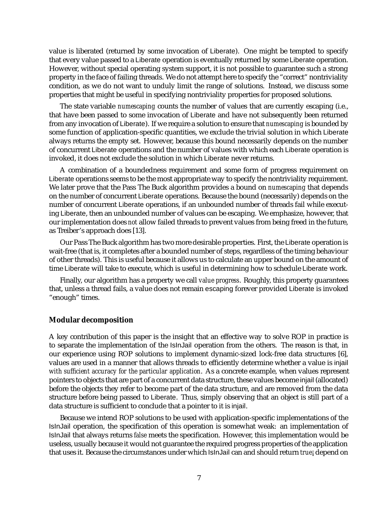value is liberated (returned by some invocation of Liberate). One might be tempted to specify that every value passed to a Liberate operation is eventually returned by some Liberate operation. However, without special operating system support, it is not possible to guarantee such a strong property in the face of failing threads. We do not attempt here to specify the "correct" nontriviality condition, as we do not want to unduly limit the range of solutions. Instead, we discuss some properties that might be useful in specifying nontriviality properties for proposed solutions.

The state variable *numescaping* counts the number of values that are currently escaping (i.e., that have been passed to some invocation of Liberate and have not subsequently been returned from any invocation of Liberate). If we require a solution to ensure that *numescaping* is bounded by some function of application-specific quantities, we exclude the trivial solution in which Liberate always returns the empty set. However, because this bound necessarily depends on the number of concurrent Liberate operations and the number of values with which each Liberate operation is invoked, it does not exclude the solution in which Liberate never returns.

A combination of a boundedness requirement and some form of progress requirement on Liberate operations seems to be the most appropriate way to specify the nontriviality requirement. We later prove that the Pass The Buck algorithm provides a bound on *numescaping* that depends on the number of concurrent Liberate operations. Because the bound (necessarily) depends on the number of concurrent Liberate operations, if an unbounded number of threads fail while executing Liberate, then an unbounded number of values can be escaping. We emphasize, however, that our implementation does *not* allow failed threads to prevent values from being freed in the future, as Treiber's approach does [13].

Our Pass The Buck algorithm has two more desirable properties. First, the Liberate operation is wait-free (that is, it completes after a bounded number of steps, regardless of the timing behaviour of other threads). This is useful because it allows us to calculate an upper bound on the amount of time Liberate will take to execute, which is useful in determining how to schedule Liberate work.

Finally, our algorithm has a property we call *value progress*. Roughly, this property guarantees that, unless a thread fails, a value does not remain escaping forever provided Liberate is invoked "enough" times.

### **Modular decomposition**

A key contribution of this paper is the insight that an effective way to solve ROP in practice is to separate the implementation of the IsInJail operation from the others. The reason is that, in our experience using ROP solutions to implement dynamic-sized lock-free data structures [6], values are used in a manner that allows threads to efficiently determine whether a value is injail *with sufficient accuracy for the particular application*. As a concrete example, when values represent pointers to objects that are part of a concurrent data structure, these values become injail (allocated) before the objects they refer to become part of the data structure, and are removed from the data structure before being passed to Liberate. Thus, simply observing that an object is still part of a data structure is sufficient to conclude that a pointer to it is injail.

Because we intend ROP solutions to be used with application-specific implementations of the IsInJail operation, the specification of this operation is somewhat weak: an implementation of IsInJail that always returns *false* meets the specification. However, this implementation would be useless, usually because it would not guarantee the required progress properties of the application that uses it. Because the circumstances under which IsInJail can and should return *true*¡ depend on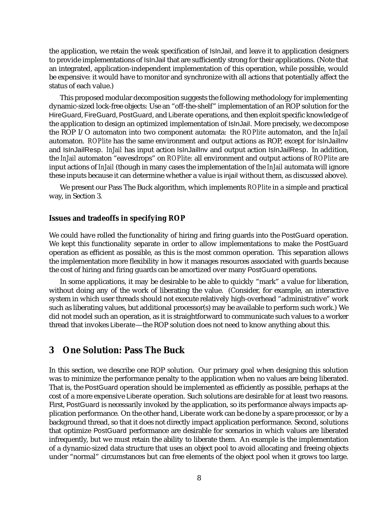the application, we retain the weak specification of IsInJail, and leave it to application designers to provide implementations of IsInJail that are sufficiently strong for their applications. (Note that an integrated, application-independent implementation of this operation, while possible, would be expensive: it would have to monitor and synchronize with all actions that potentially affect the status of each value.)

This proposed modular decomposition suggests the following methodology for implementing dynamic-sized lock-free objects: Use an "off-the-shelf" implementation of an ROP solution for the HireGuard, FireGuard, PostGuard, and Liberate operations, and then exploit specific knowledge of the application to design an optimized implementation of IsInJail. More precisely, we decompose the ROP I/O automaton into two component automata: the *ROPlite* automaton, and the *InJail* automaton. *ROPlite* has the same environment and output actions as ROP, except for IsInJailInv and IsInJailResp. *InJail* has input action IsInJailInv and output action IsInJailResp. In addition, the *InJail* automaton "eavesdrops" on *ROPlite*: all environment and output actions of *ROPlite* are input actions of *InJail* (though in many cases the implementation of the *InJail* automata will ignore these inputs because it can determine whether a value is injail without them, as discussed above).

We present our Pass The Buck algorithm, which implements *ROPlite* in a simple and practical way, in Section 3.

### **Issues and tradeoffs in specifying ROP**

We could have rolled the functionality of hiring and firing guards into the PostGuard operation. We kept this functionality separate in order to allow implementations to make the PostGuard operation as efficient as possible, as this is the most common operation. This separation allows the implementation more flexibility in how it manages resources associated with guards because the cost of hiring and firing guards can be amortized over many PostGuard operations.

In some applications, it may be desirable to be able to quickly "mark" a value for liberation, without doing any of the work of liberating the value. (Consider, for example, an interactive system in which user threads should not execute relatively high-overhead "administrative" work such as liberating values, but additional processor(s) may be available to perform such work.) We did not model such an operation, as it is straightforward to communicate such values to a worker thread that invokes Liberate—the ROP solution does not need to know anything about this.

## **3 One Solution: Pass The Buck**

In this section, we describe one ROP solution. Our primary goal when designing this solution was to minimize the performance penalty to the application when no values are being liberated. That is, the PostGuard operation should be implemented as efficiently as possible, perhaps at the cost of a more expensive Liberate operation. Such solutions are desirable for at least two reasons. First, PostGuard is necessarily invoked by the application, so its performance always impacts application performance. On the other hand, Liberate work can be done by a spare processor, or by a background thread, so that it does not directly impact application performance. Second, solutions that optimize PostGuard performance are desirable for scenarios in which values are liberated infrequently, but we must retain the ability to liberate them. An example is the implementation of a dynamic-sized data structure that uses an object pool to avoid allocating and freeing objects under "normal" circumstances but can free elements of the object pool when it grows too large.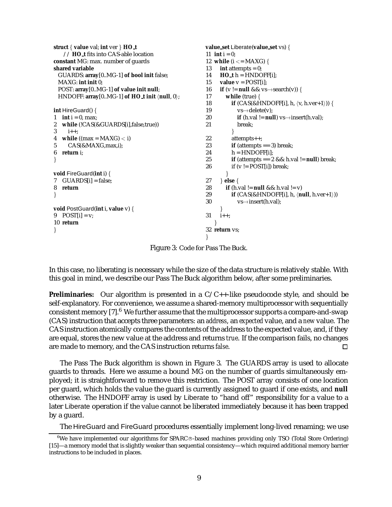```
struct { value val; int ver } HO t
    // HO t fits into CAS-able location
constant MG: max. number of guards
shared variable
 GUARDS: array[0..MG-1] of bool init false;
 MAXG: int init 0;
 POST: array[0..MG-1] of value init null;
 HNDOFF: array[0..MG-1] of HO<sub>\pm</sub> init \langle null, 0 \rangle;
int HireGuard() {
1 int i = 0, max;
2 while (!CAS(&GUARDS[i],false,true))
3 i++;
4 while ((max = MAXG) < i)<br>5 CAS(&MAXG, max, i);CAS(&MAXG,max,i);
6 return i;
}
void FireGuard(int i) {
7 GUARDS[i] = false;
8 return
}
void PostGuard(int i, value v) {
9 \text{POST}[i] = v;
10 return
}
                                                                   value set Liberate(value set vs) {
                                                                   11 int i = 0:
                                                                   12 while (i \leq MAXG) {<br>13 int attempts = 0:
                                                                         int attempts = 0;
                                                                   14 HO t h = HNDOFF[i];
                                                                   15 value v = POST[i];
                                                                   16 if (v != null && vs→search(v)) {<br>17 while (true) {
                                                                            while (true) {
                                                                   18 if (CAS(& HNDOFF[i], h, \langle v, h.ver+1 \rangle)) {
                                                                   19 vs \rightarrow delete(v);<br>20 if (h.val != nu)
                                                                   20 if (h.val != null) vs\rightarrowinsert(h.val);<br>21 break:
                                                                                 break;
                                                                               }
                                                                   22 attempts++;
                                                                   23 if (attempts == 3) break;
                                                                   24 h = HNDOFF[i];<br>25 if (attempts == 2)
                                                                   25 if (attempts == 2 && h.val != null) break;<br>26 if (v != POST[i]) break:
                                                                              if (v := POST[i]) break;
                                                                            }
                                                                   27 } else {
                                                                   28 if (h.val != null && h.val != v)
                                                                   29 if (CAS(&HNDOFF[i], h, \langle null, h.ver+1 \rangle))30 vs \rightarrow insert(h.val);}
                                                                   31 i++;
                                                                       }
                                                                   32 return vs;
                                                                   }
```
Figure 3: Code for Pass The Buck.

In this case, no liberating is necessary while the size of the data structure is relatively stable. With this goal in mind, we describe our Pass The Buck algorithm below, after some preliminaries.

**Preliminaries:** Our algorithm is presented in a C/C++-like pseudocode style, and should be self-explanatory. For convenience, we assume a shared-memory multiprocessor with sequentially consistent memory  $[7]$ .<sup>6</sup> We further assume that the multiprocessor supports a compare-and-swap (CAS) instruction that accepts three parameters: an *address*, an *expected* value, and a *new* value. The CAS instruction atomically compares the contents of the address to the expected value, and, if they are equal, stores the new value at the address and returns *true*. If the comparison fails, no changes are made to memory, and the CAS instruction returns *false*.  $\Box$ 

The Pass The Buck algorithm is shown in Figure 3. The GUARDS array is used to allocate guards to threads. Here we assume a bound MG on the number of guards simultaneously employed; it is straightforward to remove this restriction. The POST array consists of one location per guard, which holds the value the guard is currently assigned to guard if one exists, and **null** otherwise. The HNDOFF array is used by Liberate to "hand off" responsibility for a value to a later Liberate operation if the value cannot be liberated immediately because it has been trapped by a guard.

The HireGuard and FireGuard procedures essentially implement long-lived renaming; we use

 $6$ We have implemented our algorithms for SPARC $\circledast$ -based machines providing only TSO (Total Store Ordering) [15]—a memory model that is slightly weaker than sequential consistency—which required additional memory barrier instructions to be included in places.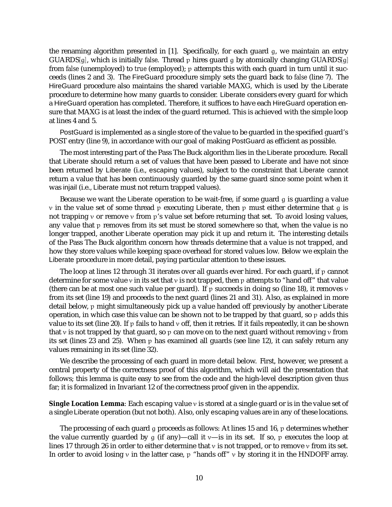the renaming algorithm presented in [1]. Specifically, for each guard g, we maintain an entry GUARDS[g], which is initially *false*. Thread p hires guard g by atomically changing GUARDS[g] from *false* (unemployed) to *true* (employed); p attempts this with each guard in turn until it succeeds (lines 2 and 3). The FireGuard procedure simply sets the guard back to *false* (line 7). The HireGuard procedure also maintains the shared variable MAXG, which is used by the Liberate procedure to determine how many guards to consider. Liberate considers every guard for which a HireGuard operation has completed. Therefore, it suffices to have each HireGuard operation ensure that MAXG is at least the index of the guard returned. This is achieved with the simple loop at lines 4 and 5.

PostGuard is implemented as a single store of the value to be guarded in the specified guard's POST entry (line 9), in accordance with our goal of making PostGuard as efficient as possible.

The most interesting part of the Pass The Buck algorithm lies in the Liberate procedure. Recall that Liberate should return a set of values that have been passed to Liberate and have not since been returned by Liberate (i.e., escaping values), subject to the constraint that Liberate cannot return a value that has been continuously guarded by the same guard since some point when it was injail (i.e., Liberate must not return trapped values).

Because we want the Liberate operation to be wait-free, if some guard g is guarding a value  $\nu$  in the value set of some thread p executing Liberate, then p must either determine that g is not trapping  $\nu$  or remove  $\nu$  from  $\nu$ 's value set before returning that set. To avoid losing values, any value that p removes from its set must be stored somewhere so that, when the value is no longer trapped, another Liberate operation may pick it up and return it. The interesting details of the Pass The Buck algorithm concern how threads determine that a value is not trapped, and how they store values while keeping space overhead for stored values low. Below we explain the Liberate procedure in more detail, paying particular attention to these issues.

The loop at lines 12 through 31 iterates over all guards ever hired. For each guard, if p cannot determine for some value  $v$  in its set that  $v$  is not trapped, then  $p$  attempts to "hand off" that value (there can be at most one such value per guard). If  $p$  succeeds in doing so (line 18), it removes  $\nu$ from its set (line 19) and proceeds to the next guard (lines 21 and 31). Also, as explained in more detail below, p might simultaneously pick up a value handed off previously by another Liberate operation, in which case this value can be shown not to be trapped by that guard, so p adds this value to its set (line 20). If p fails to hand  $v$  off, then it retries. If it fails repeatedly, it can be shown that  $\nu$  is not trapped by that guard, so p can move on to the next guard without removing  $\nu$  from its set (lines 23 and 25). When p has examined all guards (see line 12), it can safely return any values remaining in its set (line 32).

We describe the processing of each guard in more detail below. First, however, we present a central property of the correctness proof of this algorithm, which will aid the presentation that follows; this lemma is quite easy to see from the code and the high-level description given thus far; it is formalized in Invariant 12 of the correctness proof given in the appendix.

**Single Location Lemma**: Each escaping value v is stored at a single guard or is in the value set of a single Liberate operation (but not both). Also, only escaping values are in any of these locations.

The processing of each guard g proceeds as follows: At lines 15 and 16, p determines whether the value currently guarded by g (if any)—call it  $v$ —is in its set. If so, p executes the loop at lines 17 through 26 in order to either determine that  $v$  is not trapped, or to remove  $v$  from its set. In order to avoid losing  $\nu$  in the latter case,  $\nu$  "hands off"  $\nu$  by storing it in the HNDOFF array.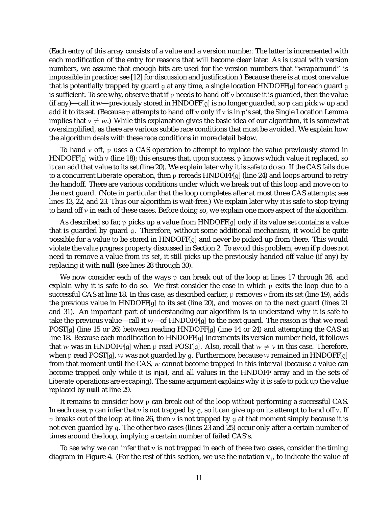(Each entry of this array consists of a value and a version number. The latter is incremented with each modification of the entry for reasons that will become clear later. As is usual with version numbers, we assume that enough bits are used for the version numbers that "wraparound" is impossible in practice; see [12] for discussion and justification.) Because there is at most one value that is potentially trapped by guard g at any time, a single location HNDOFF[g] for each guard g is sufficient. To see why, observe that if  $p$  needs to hand off  $\nu$  because it is guarded, then the value (if any)—call it w—previously stored in HNDOFF[g] is no longer guarded, so p can pick w up and add it to its set. (Because p attempts to hand off  $v$  only if  $v$  is in p's set, the Single Location Lemma implies that  $v \neq w$ .) While this explanation gives the basic idea of our algorithm, it is somewhat oversimplified, as there are various subtle race conditions that must be avoided. We explain how the algorithm deals with these race conditions in more detail below.

To hand  $\nu$  off, p uses a CAS operation to attempt to replace the value previously stored in HNDOFF[g] with  $\nu$  (line 18); this ensures that, upon success, p knows which value it replaced, so it can add that value to its set (line 20). We explain later why it is safe to do so. If the CAS fails due to a concurrent Liberate operation, then p rereads HNDOFF[g] (line 24) and loops around to retry the handoff. There are various conditions under which we break out of this loop and move on to the next guard. (Note in particular that the loop completes after at most three CAS attempts; see lines 13, 22, and 23. Thus our algorithm is wait-free.) We explain later why it is safe to stop trying to hand off v in each of these cases. Before doing so, we explain one more aspect of the algorithm.

As described so far, p picks up a value from HNDOFF[g] only if its value set contains a value that is guarded by guard g. Therefore, without some additional mechanism, it would be quite possible for a value to be stored in HNDOFF[g] and never be picked up from there. This would violate the *value progress* property discussed in Section 2. To avoid this problem, even if p does not need to remove a value from its set, it still picks up the previously handed off value (if any) by replacing it with **null** (see lines 28 through 30).

We now consider each of the ways p can break out of the loop at lines 17 through 26, and explain why it is safe to do so. We first consider the case in which p exits the loop due to a successful CAS at line 18. In this case, as described earlier,  $p$  removes  $\nu$  from its set (line 19), adds the previous value in  $HMDOFF[g]$  to its set (line 20), and moves on to the next guard (lines 21 and 31). An important part of understanding our algorithm is to understand why it is safe to take the previous value—call it w—of HNDOFF[g] to the next guard. The reason is that we read POST[g] (line 15 or 26) between reading HNDOFF[g] (line 14 or 24) and attempting the CAS at line 18. Because each modification to HNDOFF[g] increments its version number field, it follows that w was in HNDOFF[g] when p read POST[g]. Also, recall that  $w \neq v$  in this case. Therefore, when p read POST[g], w was not guarded by g. Furthermore, because w remained in HNDOFF[g] from that moment until the CAS,  $w$  cannot become trapped in this interval (because a value can become trapped only while it is injail, and all values in the HNDOFF array and in the sets of Liberate operations are escaping). The same argument explains why it is safe to pick up the value replaced by **null** at line 29.

It remains to consider how p can break out of the loop *without* performing a successful CAS. In each case, p can infer that  $v$  is not trapped by g, so it can give up on its attempt to hand off  $v$ . If p breaks out of the loop at line 26, then  $\nu$  is not trapped by g at that moment simply because it is not even guarded by g. The other two cases (lines 23 and 25) occur only after a certain number of times around the loop, implying a certain number of failed CAS's.

To see why we can infer that  $\nu$  is not trapped in each of these two cases, consider the timing diagram in Figure 4. (For the rest of this section, we use the notation  $v_p$  to indicate the value of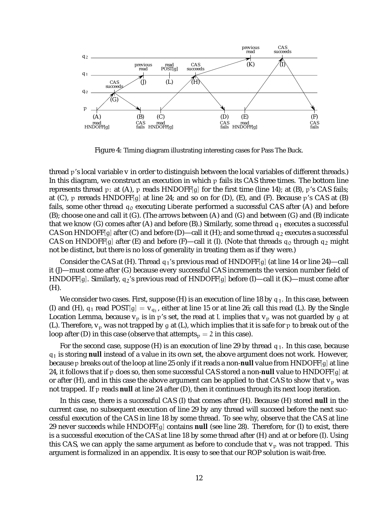

Figure 4: Timing diagram illustrating interesting cases for Pass The Buck.

thread p's local variable v in order to distinguish between the local variables of different threads.) In this diagram, we construct an execution in which p fails its CAS three times. The bottom line represents thread p: at (A), p reads HNDOFF[g] for the first time (line 14); at (B), p's CAS fails; at  $(C)$ , p rereads HNDOFF[g] at line 24; and so on for  $(D)$ ,  $(E)$ , and  $(F)$ . Because p's CAS at  $(B)$ fails, some other thread  $q_0$  executing Liberate performed a successful CAS after (A) and before (B); choose one and call it (G). (The arrows between (A) and (G) and between (G) and (B) indicate that we know (G) comes after (A) and before (B).) Similarly, some thread  $q_1$  executes a successful CAS on HNDOFF[g] after (C) and before (D)—call it (H); and some thread  $q_2$  executes a successful CAS on HNDOFF[g] after (E) and before (F)—call it (I). (Note that threads  $q_0$  through  $q_2$  might not be distinct, but there is no loss of generality in treating them as if they were.)

Consider the CAS at (H). Thread  $q_1$ 's previous read of HNDOFF[g] (at line 14 or line 24)—call it (J)—must come after (G) because every successful CAS increments the version number field of HNDOFF[g]. Similarly,  $q_2$ 's previous read of HNDOFF[g] before (I)—call it (K)—must come after (H).

We consider two cases. First, suppose (H) is an execution of line 18 by  $q_1$ . In this case, between (I) and (H),  $q_1$  read POST[g] =  $v_{q_1}$ , either at line 15 or at line 26; call this read (L). By the Single Location Lemma, because  $v_p$  is in p's set, the read at L implies that  $v_p$  was not guarded by g at (L). Therefore,  $v_p$  was not trapped by g at (L), which implies that it is safe for p to break out of the loop after (D) in this case (observe that attempts<sub>p</sub> = 2 in this case).

For the second case, suppose (H) is an execution of line 29 by thread  $q_1$ . In this case, because <sup>q</sup>1 is storing **null** instead of a value in its own set, the above argument does not work. However, because p breaks out of the loop at line 25 only if it reads a non-**null** value from HNDOFF[g] at line 24, it follows that if p does so, then *some* successful CAS stored a non-**null** value to HNDOFF[g] at or after (H), and in this case the above argument can be applied to that CAS to show that  $v_p$  was not trapped. If p reads **null** at line 24 after (D), then it continues through its next loop iteration.

In this case, there is a successful CAS (I) that comes after (H). Because (H) stored **null** in the current case, no subsequent execution of line 29 by any thread will succeed before the next successful execution of the CAS in line 18 by some thread. To see why, observe that the CAS at line 29 never succeeds while HNDOFF[g] contains **null** (see line 28). Therefore, for (I) to exist, there is a successful execution of the CAS at line 18 by some thread after (H) and at or before (I). Using this CAS, we can apply the same argument as before to conclude that  $v<sub>p</sub>$  was not trapped. This argument is formalized in an appendix. It is easy to see that our ROP solution is wait-free.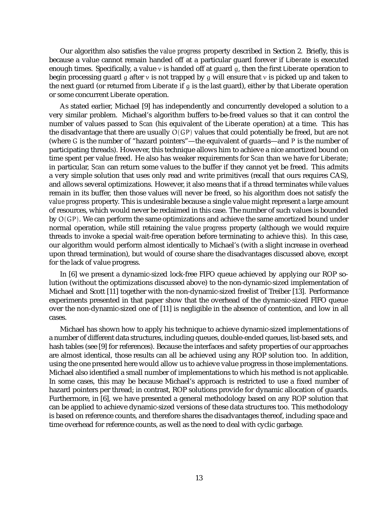Our algorithm also satisfies the *value progress* property described in Section 2. Briefly, this is because a value cannot remain handed off at a particular guard forever if Liberate is executed enough times. Specifically, a value  $\nu$  is handed off at guard g, then the first Liberate operation to begin processing guard g after  $\nu$  is not trapped by g will ensure that  $\nu$  is picked up and taken to the next guard (or returned from Liberate if g is the last guard), either by that Liberate operation or some concurrent Liberate operation.

As stated earlier, Michael [9] has independently and concurrently developed a solution to a very similar problem. Michael's algorithm buffers to-be-freed values so that it can control the number of values passed to *Scan* (his equivalent of the Liberate operation) at a time. This has the disadvantage that there are usually O(GP) values that could potentially be freed, but are not (where G is the number of "hazard pointers"—the equivalent of guards—and P is the number of participating threads). However, this technique allows him to achieve a nice amortized bound on time spent per value freed. He also has weaker requirements for *Scan* than we have for Liberate; in particular, *Scan* can return some values to the buffer if they cannot yet be freed. This admits a very simple solution that uses only read and write primitives (recall that ours requires CAS), and allows several optimizations. However, it also means that if a thread terminates while values remain in its buffer, then those values will never be freed, so his algorithm does not satisfy the *value progress* property. This is undesirable because a single value might represent a large amount of resources, which would never be reclaimed in this case. The number of such values is bounded by O(GP). We can perform the same optimizations and achieve the same amortized bound under normal operation, while still retaining the *value progress* property (although we would require threads to invoke a special wait-free operation before terminating to achieve this). In this case, our algorithm would perform almost identically to Michael's (with a slight increase in overhead upon thread termination), but would of course share the disadvantages discussed above, except for the lack of value progress.

In [6] we present a dynamic-sized lock-free FIFO queue achieved by applying our ROP solution (without the optimizations discussed above) to the non-dynamic-sized implementation of Michael and Scott [11] together with the non-dynamic-sized freelist of Treiber [13]. Performance experiments presented in that paper show that the overhead of the dynamic-sized FIFO queue over the non-dynamic-sized one of [11] is negligible in the absence of contention, and low in all cases.

Michael has shown how to apply his technique to achieve dynamic-sized implementations of a number of different data structures, including queues, double-ended queues, list-based sets, and hash tables (see [9] for references). Because the interfaces and safety properties of our approaches are almost identical, those results can all be achieved using any ROP solution too. In addition, using the one presented here would allow us to achieve value progress in those implementations. Michael also identified a small number of implementations to which his method is not applicable. In some cases, this may be because Michael's approach is restricted to use a fixed number of hazard pointers per thread; in contrast, ROP solutions provide for dynamic allocation of guards. Furthermore, in [6], we have presented a general methodology based on any ROP solution that can be applied to achieve dynamic-sized versions of these data structures too. This methodology is based on reference counts, and therefore shares the disadvantages thereof, including space and time overhead for reference counts, as well as the need to deal with cyclic garbage.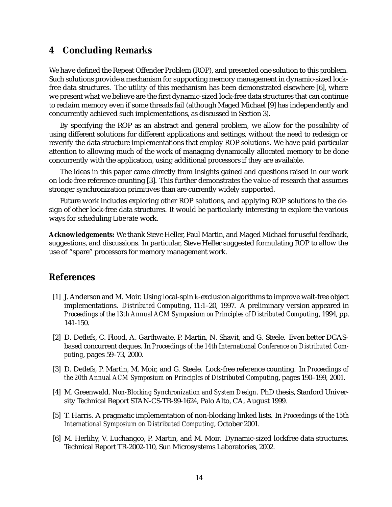## **4 Concluding Remarks**

We have defined the Repeat Offender Problem (ROP), and presented one solution to this problem. Such solutions provide a mechanism for supporting memory management in dynamic-sized lockfree data structures. The utility of this mechanism has been demonstrated elsewhere [6], where we present what we believe are the first dynamic-sized lock-free data structures that can continue to reclaim memory even if some threads fail (although Maged Michael [9] has independently and concurrently achieved such implementations, as discussed in Section 3).

By specifying the ROP as an abstract and general problem, we allow for the possibility of using different solutions for different applications and settings, without the need to redesign or reverify the data structure implementations that employ ROP solutions. We have paid particular attention to allowing much of the work of managing dynamically allocated memory to be done concurrently with the application, using additional processors if they are available.

The ideas in this paper came directly from insights gained and questions raised in our work on lock-free reference counting [3]. This further demonstrates the value of research that assumes stronger synchronization primitives than are currently widely supported.

Future work includes exploring other ROP solutions, and applying ROP solutions to the design of other lock-free data structures. It would be particularly interesting to explore the various ways for scheduling Liberate work.

**Acknowledgements:** We thank Steve Heller, Paul Martin, and Maged Michael for useful feedback, suggestions, and discussions. In particular, Steve Heller suggested formulating ROP to allow the use of "spare" processors for memory management work.

## **References**

- [1] J. Anderson and M. Moir. Using local-spin k-exclusion algorithms to improve wait-free object implementations. *Distributed Computing*, 11:1–20, 1997. A preliminary version appeared in *Proceedings of the 13th Annual ACM Symposium on Principles of Distributed Computing*, 1994, pp. 141-150.
- [2] D. Detlefs, C. Flood, A. Garthwaite, P. Martin, N. Shavit, and G. Steele. Even better DCASbased concurrent deques. In *Proceedings of the 14th International Conference on Distributed Computing*, pages 59–73, 2000.
- [3] D. Detlefs, P. Martin, M. Moir, and G. Steele. Lock-free reference counting. In *Proceedings of the 20th Annual ACM Symposium on Principles of Distributed Computing*, pages 190–199, 2001.
- [4] M. Greenwald. *Non-Blocking Synchronization and System Design*. PhD thesis, Stanford University Technical Report STAN-CS-TR-99-1624, Palo Alto, CA, August 1999.
- [5] T. Harris. A pragmatic implementation of non-blocking linked lists. In *Proceedings of the 15th International Symposium on Distributed Computing*, October 2001.
- [6] M. Herlihy, V. Luchangco, P. Martin, and M. Moir. Dynamic-sized lockfree data structures. Technical Report TR-2002-110, Sun Microsystems Laboratories, 2002.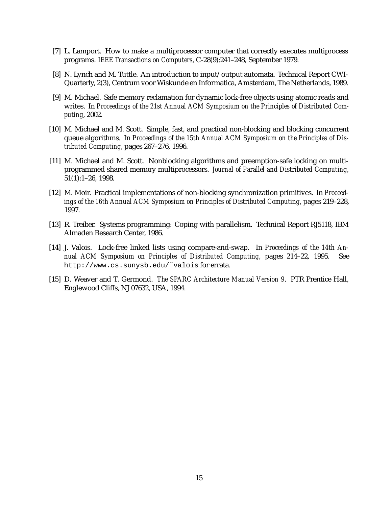- [7] L. Lamport. How to make a multiprocessor computer that correctly executes multiprocess programs. *IEEE Transactions on Computers*, C-28(9):241–248, September 1979.
- [8] N. Lynch and M. Tuttle. An introduction to input/output automata. Technical Report CWI-Quarterly, 2(3), Centrum voor Wiskunde en Informatica, Amsterdam, The Netherlands, 1989.
- [9] M. Michael. Safe memory reclamation for dynamic lock-free objects using atomic reads and writes. In *Proceedings of the 21st Annual ACM Symposium on the Principles of Distributed Computing*, 2002.
- [10] M. Michael and M. Scott. Simple, fast, and practical non-blocking and blocking concurrent queue algorithms. In *Proceedings of the 15th Annual ACM Symposium on the Principles of Distributed Computing*, pages 267–276, 1996.
- [11] M. Michael and M. Scott. Nonblocking algorithms and preemption-safe locking on multiprogrammed shared memory multiprocessors. *Journal of Parallel and Distributed Computing*, 51(1):1–26, 1998.
- [12] M. Moir. Practical implementations of non-blocking synchronization primitives. In *Proceedings of the 16th Annual ACM Symposium on Principles of Distributed Computing*, pages 219–228, 1997.
- [13] R. Treiber. Systems programming: Coping with parallelism. Technical Report RJ5118, IBM Almaden Research Center, 1986.
- [14] J. Valois. Lock-free linked lists using compare-and-swap. In *Proceedings of the 14th Annual ACM Symposium on Principles of Distributed Computing*, pages 214–22, 1995. See http://www.cs.sunysb.edu/˜valois for errata.
- [15] D. Weaver and T. Germond. *The SPARC Architecture Manual Version 9*. PTR Prentice Hall, Englewood Cliffs, NJ 07632, USA, 1994.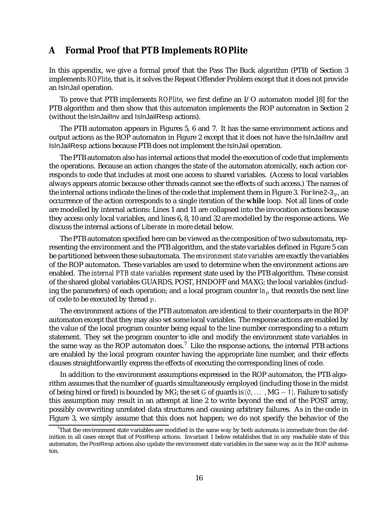## **A Formal Proof that PTB Implements ROPlite**

In this appendix, we give a formal proof that the Pass The Buck algorithm (PTB) of Section 3 implements *ROPlite*, that is, it solves the Repeat Offender Problem except that it does not provide an IsInJail operation.

To prove that PTB implements *ROPlite*, we first define an I/O automaton model [8] for the PTB algorithm and then show that this automaton implements the ROP automaton in Section 2 (without the IsInJailInv and IsInJailResp actions).

The PTB automaton appears in Figures 5, 6 and 7. It has the same environment actions and output actions as the ROP automaton in Figure 2 except that it does not have the IsInJailInv and IsInJailResp actions because PTB does not implement the IsInJail operation.

The PTB automaton also has internal actions that model the execution of code that implements the operations. Because an action changes the state of the automaton atomically, each action corresponds to code that includes at most one access to shared variables. (Access to local variables always appears atomic because other threads cannot see the effects of such access.) The names of the internal actions indicate the lines of the code that implement them in Figure 3. For line2-3<sub>p</sub>, an occurrence of the action corresponds to a single iteration of the **while** loop. Not all lines of code are modelled by internal actions: Lines 1 and 11 are collapsed into the invocation actions because they access only local variables, and lines 6, 8, 10 and 32 are modelled by the response actions. We discuss the internal actions of Liberate in more detail below.

The PTB automaton specified here can be viewed as the composition of two subautomata, representing the environment and the PTB algorithm, and the state variables defined in Figure 5 can be partitioned between these subautomata. The *environment state variables* are exactly the variables of the ROP automaton. These variables are used to determine when the environment actions are enabled. The *internal PTB state variables* represent state used by the PTB algorithm. These consist of the shared global variables GUARDS, POST, HNDOFF and MAXG; the local variables (including the parameters) of each operation; and a local program counter  $ln_p$  that records the next line of code to be executed by thread p.

The environment actions of the PTB automaton are identical to their counterparts in the ROP automaton except that they may also set some local variables. The response actions are enabled by the value of the local program counter being equal to the line number corresponding to a return statement. They set the program counter to idle and modify the environment state variables in the same way as the ROP automaton does.<sup>7</sup> Like the response actions, the internal PTB actions are enabled by the local program counter having the appropriate line number, and their effects clauses straightforwardly express the effects of executing the corresponding lines of code.

In addition to the environment assumptions expressed in the ROP automaton, the PTB algorithm assumes that the number of guards simultaneously employed (including those in the midst of being hired or fired) is bounded by MG; the set G of guards is  $\{0, \ldots, MG-1\}$ . Failure to satisfy this assumption may result in an attempt at line 2 to write beyond the end of the POST array, possibly overwriting unrelated data structures and causing arbitrary failures. As in the code in Figure 3, we simply assume that this does not happen; we do not specify the behavior of the

 $^7$ That the environment state variables are modified in the same way by both automata is immediate from the definition in all cases except that of PostResp actions. Invariant 1 below establishes that in any reachable state of this automaton, the PostResp actions also update the environment state variables in the same way as in the ROP automaton.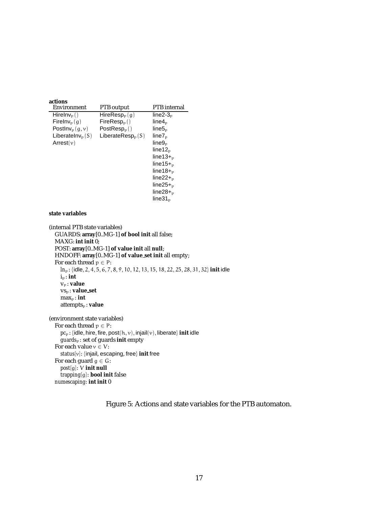| <b>PTB</b> output               | PTB internal             |
|---------------------------------|--------------------------|
| HireResp <sub>p</sub> $(g)$     | line2- $3n$              |
| $FireResp_n()$                  | $line4_n$                |
| $PostResp_{p}()$                | line 5 <sub>n</sub>      |
| LiberateResp <sub>p</sub> $(S)$ | line 7 <sub>n</sub>      |
|                                 | $line9_n$                |
|                                 | line1 $2p$               |
|                                 | line13 $+$ <sub>p</sub>  |
|                                 | line15 $+$ <sub>p</sub>  |
|                                 | $line118 +n$             |
|                                 | $line22+_n$              |
|                                 | line $25 +$ <sub>n</sub> |
|                                 | line28 $+$               |
|                                 |                          |

#### **state variables**

**actions**

(internal PTB state variables) GUARDS: **array**[0..MG-1] **of bool init** all false; MAXG: **int init** 0; POST: **array**[0..MG-1] **of value init** all **null**; HNDOFF: **array**[0..MG-1] **of value set init** all empty; For each thread  $p \in P$ : *ln*p: {idle, 2, 4, 5, 6, 7, 8, 9, 10, 12, 13, 15, 18, 22, 25, 28, 31, 32} **init** idle <sup>i</sup>p: **int** <sup>v</sup>p: **value** vsp: **value set** maxp: **int** attemptsp: **value**

line $31_p$ 

```
(environment state variables)
  For each thread p \in P:
    pcp: {idle, hire, fire, post(h, v), injail(v), liberate} init idle
    guardsp: set of guards init empty
  For each value v \in V:
    status[v]: {injail, escaping, free} init free
  For each guard g \in G:
    post[g]: V init null
     trapping[g]: bool init false
  numescaping: int init 0
```
Figure 5: Actions and state variables for the PTB automaton.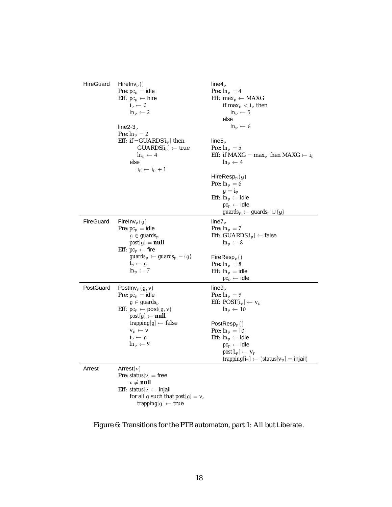| HireGuard | $HireInv_{p}()$                                          | $line4_p$                                                   |
|-----------|----------------------------------------------------------|-------------------------------------------------------------|
|           | Pre: $pc_p =$ idle                                       | Pre: $ln_p = 4$                                             |
|           | Eff: $pc_{p} \leftarrow$ hire                            | Eff: $max_p \leftarrow MAXG$                                |
|           | $i_p \leftarrow 0$                                       | if max <sub>p</sub> $\langle i_p$ then                      |
|           | $\ln_{p} \leftarrow 2$                                   | $\ln_{p} \leftarrow 5$                                      |
|           |                                                          |                                                             |
|           |                                                          | else                                                        |
|           | line2- $3_p$                                             | $\ln_{p} \leftarrow 6$                                      |
|           | Pre: $ln_p = 2$                                          |                                                             |
|           | Eff: if $\neg$ GUARDS $[i_p]$ then                       | line $5_p$                                                  |
|           | $GUARDS[i_p] \leftarrow true$                            | Pre: $ln_p = 5$                                             |
|           | $\ln_{\rm p} \leftarrow 4$                               | Eff: if MAXG = $max_{p}$ then MAXG $\leftarrow i_{p}$       |
|           | else                                                     | $\ln_{p} \leftarrow 4$                                      |
|           | $i_p \leftarrow i_p + 1$                                 |                                                             |
|           |                                                          | HireResp <sub>p</sub> (g)                                   |
|           |                                                          |                                                             |
|           |                                                          | Pre: $ln_p = 6$                                             |
|           |                                                          | $g = i_p$                                                   |
|           |                                                          | Eff: $ln_p \leftarrow$ idle                                 |
|           |                                                          | $pc_{p} \leftarrow$ idle                                    |
|           |                                                          | $\mathit{guards}_p \leftarrow \mathit{guards}_p \cup \{g\}$ |
| FireGuard | Fireln $v_p(g)$                                          | line 7 <sub>p</sub>                                         |
|           | Pre: $pc_p =$ idle                                       | Pre: $ln_p = 7$                                             |
|           | $g \in \mathbf{guards}_{p}$                              | Eff: $GUARDS[i_p] \leftarrow false$                         |
|           |                                                          | $ln_p \leftarrow 8$                                         |
|           | $post[g] = null$                                         |                                                             |
|           | Eff: $pc_p \leftarrow$ fire                              |                                                             |
|           | $\mathbf{guards_p} \leftarrow \mathbf{guards_p} - \{g\}$ | $FireResp_p()$                                              |
|           | $\mathbf{i}_p \leftarrow \mathbf{g}$                     | Pre: $ln_p = 8$                                             |
|           | $\ln_{p} \leftarrow 7$                                   | Eff: $ln_p =$ idle                                          |
|           |                                                          | $pc_{p} \leftarrow$ idle                                    |
| PostGuard | Postln $v_p(g, v)$                                       | $line9_p$                                                   |
|           | Pre: $pc_p =$ idle                                       | Pre: $ln_p = 9$                                             |
|           |                                                          | Eff: $POST[i_p] \leftarrow v_p$                             |
|           | $g \in \text{guards}_p$                                  |                                                             |
|           | Eff: $pc_p \leftarrow post(g, v)$                        | $\ln_{p} \leftarrow 10$                                     |
|           | $post[g] \leftarrow null$                                |                                                             |
|           | <i>trapping</i> [g] $\leftarrow$ false                   | $PostResp_p()$                                              |
|           | $v_p \leftarrow v$                                       | <b>Pre:</b> $ln_p = 10$                                     |
|           | $i_p \leftarrow g$                                       | Eff: $ln_p \leftarrow$ idle                                 |
|           | $\ln_{\rm p} \leftarrow 9$                               | $pc_{p} \leftarrow$ idle                                    |
|           |                                                          | $post[i_p] \leftarrow v_p$                                  |
|           |                                                          | $trapping[i_p] \leftarrow (status[v_p] = injail)$           |
| Arrest    | Arrest( $v$ )                                            |                                                             |
|           |                                                          |                                                             |
|           | $Pre: status[v] = free$                                  |                                                             |
|           | $v \neq null$                                            |                                                             |
|           | Eff: status[v] $\leftarrow$ injail                       |                                                             |
|           | for all g such that $post[g] = v$ ,                      |                                                             |
|           | <i>trapping</i> [g] $\leftarrow$ true                    |                                                             |
|           |                                                          |                                                             |

Figure 6: Transitions for the PTB automaton, part 1: All but Liberate.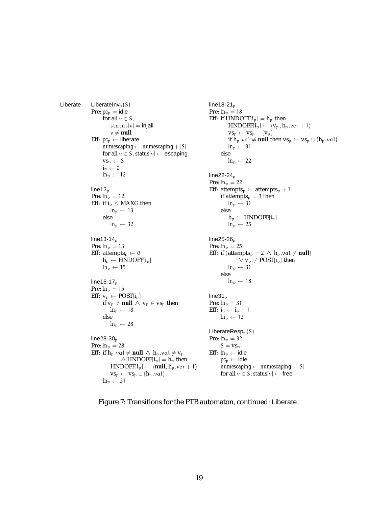Liberate LiberateInv<sub>p</sub> $(S)$ Pre:  $pc_p =$  idle for all  $v \in S$ ,  $status[v] = injail$  $v \neq \textbf{null}$ Eff:  $pc_p \leftarrow$  liberate  $numescaping \leftarrow numescaping + |S|$ for all  $v \in S$ , *status*[ $v$ ]  $\leftarrow$  escaping  $vs_p \leftarrow S$  $\mathbf{i}_\mathrm{p} \gets \mathbf{0}$  $ln_p \leftarrow 12$  $line12_p$ Pre:  $ln_p = 12$ Eff: if  $i_p \leq$  MAXG then  $ln_{\rm p} \leftarrow 13$ else  $ln_p \leftarrow 32$ line13-1 $4_p$ Pre:  $ln_p = 13$ Eff: attempts<sub>p</sub>  $\leftarrow 0$  $h_p \leftarrow \text{HNDOFF}[i_p]$  $ln_p \leftarrow 15$ line15-1 $7<sub>p</sub>$ Pre:  $ln_p = 15$ Eff:  $v_p \leftarrow POST[i_p]$ if  $v_p \neq \textbf{null} \land v_p \in vs_p$  then  $ln_{\rm p} \leftarrow 18$ else  $ln_p \leftarrow 28$ line $28-30_p$ Pre:  $ln_p = 28$ Eff: if  $h_p$ .val  $\neq$  **null**  $\land$   $h_p$ .val  $\neq$   $v_p$  $\wedge$  HNDOFF[i<sub>p</sub>] = h<sub>p</sub> then  $HNDOFF[i_p] \leftarrow \langle \textbf{null}, h_p \text{.} ver + 1 \rangle$  $vs_p \leftarrow vs_p \cup \{h_p.val\}$  $ln_p \leftarrow 31$ line18-21 $_p$ Pre:  $ln_p = 18$  $ln_p \leftarrow 31$ else  $ln_p \leftarrow 22$ line $22-24_p$ Pre:  $ln_p = 22$  $ln_p \leftarrow 31$ else  $ln_p \leftarrow 25$ line25-2 $6_p$ Pre:  $ln_p = 25$  $ln_p \leftarrow 31$ else  $ln_p \leftarrow 18$ line $31<sub>p</sub>$ Pre:  $ln_p = 31$ Eff:  $i_p \leftarrow i_p + 1$  $ln_p \leftarrow 12$ Pre:  $ln_p = 32$  $S = vs_p$ Eff:  $ln_{p} \leftarrow$  idle  $pc_{p} \leftarrow$  idle

Eff: if HNDOFF $[i_p] = h_p$  then  $HNDOFF[i_p] \leftarrow \langle v_p, h_p, ver+1 \rangle$  $vs_p \leftarrow vs_p - \{v_p\}$ if  $h_p$ .val  $\neq$  **null** then vs<sub>p</sub> ← vs<sub>p</sub> ∪ { $h_p$ .val} Eff:  $attemps<sub>p</sub> \leftarrow attemps<sub>p</sub> + 1$ if attempts<br>  $_\mathrm{p} = 3$  then  $h_p \leftarrow HNDOFF[i_p]$ Eff: if (attempts<sub>p</sub> = 2  $\land$  h<sub>p</sub>.val  $\neq$  **null**)  $\lor$   $\mathbf{v}_{\mathfrak{p}}\neq \text{POST}[\mathbf{i}_{\mathfrak{p}}]$  then Liberate $\mathsf{Resp}_p(S)$ *numescaping* <sup>←</sup> *numescaping* <sup>−</sup> <sup>|</sup>S<sup>|</sup> for all  $v \in S$ , *status*[v]  $\leftarrow$  free

Figure 7: Transitions for the PTB automaton, continued: Liberate.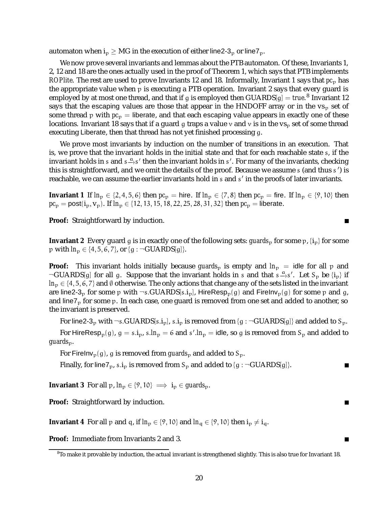automaton when  $i_p \geq MG$  in the execution of either line2-3<sub>p</sub> or line7<sub>p</sub>.

We now prove several invariants and lemmas about the PTB automaton. Of these, Invariants 1, 2, 12 and 18 are the ones actually used in the proof of Theorem 1, which says that PTB implements *ROPlite.* The rest are used to prove Invariants 12 and 18. Informally, Invariant 1 says that  $pc_p$  has the appropriate value when p is executing a PTB operation. Invariant 2 says that every guard is employed by at most one thread, and that if g is employed then  $\text{GUARDS}[g] = \text{true}^8$  Invariant 12<br>says that the escaping values are those that appear in the HNDOEE array or in the vs. set of says that the escaping values are those that appear in the HNDOFF array or in the  $vs_p$  set of some thread p with  $pc_p =$  liberate, and that each escaping value appears in exactly one of these locations. Invariant 18 says that if a guard g traps a value v and v is in the  $vs<sub>p</sub>$  set of some thread executing Liberate, then that thread has not yet finished processing g.

We prove most invariants by induction on the number of transitions in an execution. That is, we prove that the invariant holds in the initial state and that for each reachable state s, if the invariant holds in s and s  $\stackrel{\alpha}{\rightarrow}$ s' then the invariant holds in s'. For many of the invariants, checking<br>this is straightforward, and we omit the details of the proof. Because we assume s (and thus s') is this is straightforward, and we omit the details of the proof. Because we assume s (and thus s ') is<br>reachable, we can assume the earlier invariants hold in s and s' in the proofs of later invariants. reachable, we can assume the earlier invariants hold in s and s' in the proofs of later invariants.

**Invariant 1** If  $ln_p \in \{2, 4, 5, 6\}$  then  $pc_p =$  hire. If  $ln_p \in \{7, 8\}$  then  $pc_p =$  fire. If  $ln_p \in \{9, 10\}$  then  $pc_p = \text{post}(i_p, v_p)$ . If  $ln_p \in \{12, 13, 15, 18, 22, 25, 28, 31, 32\}$  then  $pc_p = \text{liberate}$ .

Г

H.

**Proof:** Straightforward by induction.

**Invariant 2** Every guard g is in exactly one of the following sets:  $\text{guards}_p$  for some p,  $\{i_p\}$  for some p with  $ln_p \in \{4, 5, 6, 7\}$ , or  $\{g : \neg GUARDS[g]\}.$ 

**Proof:** This invariant holds initially because *guards*<sub>p</sub> is empty and  $ln_p =$  idle for all p and  $\neg$ GUARDS[g] for all g. Suppose that the invariant holds in s and that  $s \xrightarrow{\alpha} s'$ . Let  $S_p$  be {i<sub>p</sub>} if  $ln_p \in \{4, 5, 6, 7\}$  and Ø otherwise. The only actions that change any of the sets listed in the invariant are line2-3<sub>p</sub> for some p with  $\neg s$ .GUARDS[s.i<sub>p</sub>], HireResp<sub>p</sub>(g) and FireInv<sub>p</sub>(g) for some p and g, and line $7<sub>p</sub>$  for some p. In each case, one guard is removed from one set and added to another, so the invariant is preserved.

For line2-3<sub>p</sub> with  $\neg s$ .GUARDS[s.i<sub>p</sub>], s.i<sub>p</sub> is removed from {g :  $\neg$ GUARDS[g]} and added to S<sub>p</sub>.

For HireResp<sub>p</sub>(g),  $g = s.i_p$ ,  $s.h_p = 6$  and  $s'.ln_p =$  idle, so  $g$  is removed from  $S_p$  and added to *guards*p.

For FireInv<sub>p</sub>(g), g is removed from *guards*<sub>p</sub> and added to  $S_p$ .

Finally, for line $7_p$ , s.i<sub>p</sub> is removed from S<sub>p</sub> and added to {g :  $\neg$ GUARDS[g]}.

**Invariant 3** For all p,  $ln_p \in \{9, 10\} \implies i_p \in \text{guards}_p$ .

**Proof:** Straightforward by induction.

**Invariant 4** For all p and q, if  $ln_p \in \{9, 10\}$  and  $ln_q \in \{9, 10\}$  then  $i_p \neq i_q$ .

**Proof:** Immediate from Invariants 2 and 3.

 $^8$ To make it provable by induction, the actual invariant is strengthened slightly. This is also true for Invariant 18.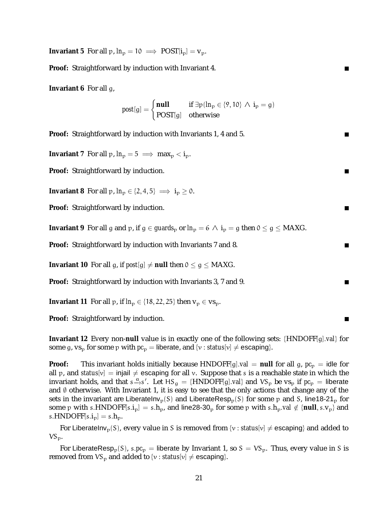**Invariant 5** For all p,  $ln_p = 10 \implies$  POST[i<sub>p</sub>] = v<sub>p</sub>.

**Proof:** Straightforward by induction with Invariant 4.

**Invariant 6** For all g,

$$
post[g] = \begin{cases} \textbf{null} & \text{if } \exists p (h_p \in \{9, 10\} \land i_p = g) \\ \textbf{POST}[g] & \text{otherwise} \end{cases}
$$

**Proof:** Straightforward by induction with Invariants 1, 4 and 5.

**Invariant 7** For all p,  $ln_p = 5 \implies max_p < i_p$ .

**Proof:** Straightforward by induction.

**Invariant 8** For all p,  $ln_p \in \{2, 4, 5\} \implies i_p \ge 0$ .

**Proof:** Straightforward by induction.

**Invariant 9** For all g and p, if  $g \in \text{guards}_p$  or  $ln_p = 6 \land i_p = g$  then  $0 \le g \le MAXG$ .

**Proof:** Straightforward by induction with Invariants 7 and 8.

**Invariant 10** For all g, if  $post[g] \neq null$  then  $0 \leq g \leq MAXG$ .

**Proof:** Straightforward by induction with Invariants 3, 7 and 9.

**Invariant 11** For all p, if  $ln_p \in \{18, 22, 25\}$  then  $v_p \in vs_p$ .

**Proof:** Straightforward by induction.

**Invariant 12** Every non-**null** value is in exactly one of the following sets: {HNDOFF[g].*val*} for some g,  $vs_p$  for some p with  $pc_p =$  liberate, and  $\{v : status[v] \neq$  escaping.

**Proof:** This invariant holds initially because HNDOFF[g].*val* = **null** for all g,  $pc_p =$  idle for all p, and *status*[v] = injail  $\neq$  escaping for all v. Suppose that s is a reachable state in which the invariant holds, and that  $s {\alpha_s \over 2} s'$ . Let  $H S_g = {HNDOFF[g].val}$  and  $V S_p$  be  $v s_p$  if  $p c_p =$  liberate and  $\emptyset$  otherwise. With Invariant 1, it is easy to see that the only actions that change any of the sets in the invariant are Liberatelnv<sub>p</sub>(S) and LiberateResp<sub>p</sub>(S) for some p and S, line18-21<sub>p</sub> for some p with s.HNDOFF[s.i<sub>p</sub>] = s.h<sub>p</sub>, and line28-30<sub>p</sub> for some p with s.h<sub>p</sub>.val  $\notin$  {**null**, s.v<sub>p</sub>} and s.HNDOFF[s.i<sub>p</sub>] = s.h<sub>p</sub>.

For Liberatelny<sub>p</sub>(S), every value in S is removed from  $\{v : *status*[v] \neq$  escaping} and added to  $VS_p$ .

For LiberateResp<sub>p</sub>(S), s.pc<sub>p</sub> = liberate by Invariant 1, so  $S = VS_p$ . Thus, every value in S is removed from  $VS_p$  and added to  $\{v : status[v] \neq$  escaping}.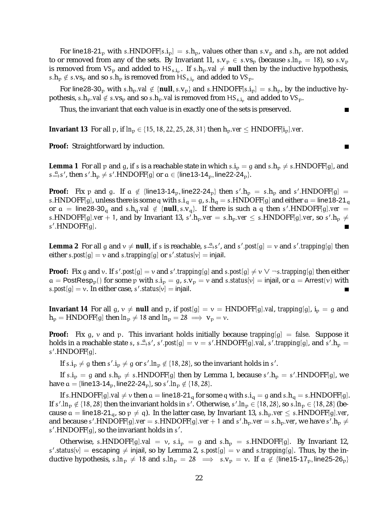For line18-21<sub>p</sub> with s.HNDOFF[s.i<sub>p</sub>] = s.h<sub>p</sub>, values other than s.v<sub>p</sub> and s.h<sub>p</sub> are not added to or removed from any of the sets. By Invariant 11,  $s.v_p \in s.v_p$  (because  $s.h_p = 18$ ), so  $s.v_p$ is removed from  $VS_p$  and added to  $HS_{s,i_p}$ . If  $s.h_p.val \neq \textbf{null}$  then by the inductive hypothesis, s.h<sub>p</sub>  $\notin$  s.vs<sub>p</sub> and so s.h<sub>p</sub> is removed from HS<sub>s.ip</sub> and added to VS<sub>p</sub>.

For line28-30<sub>p</sub> with s.h<sub>p</sub>.*val*  $\notin$  {**null**, s.v<sub>p</sub>} and s.HNDOFF[s.i<sub>p</sub>] = s.h<sub>p</sub>, by the inductive hypothesis, s.h<sub>p</sub>.*val*  $\notin$  s.vs<sub>p</sub> and so s.h<sub>p</sub>.*val* is removed from HS<sub>s.ip</sub> and added to VS<sub>p</sub>.

Thus, the invariant that each value is in exactly one of the sets is preserved.

**Invariant 13** For all p, if  $ln_p \in \{15, 18, 22, 25, 28, 31\}$  then  $ln_p$ *.ver*  $\leq$  HNDOFF[i<sub>p</sub>]*.ver.* 

**Proof:** Straightforward by induction.

**Lemma 1** For all p and g, if s is a reachable state in which s.i<sub>p</sub> = g and s.h<sub>p</sub>  $\neq$  s.HNDOFF[g], and s $\stackrel{\alpha}{\rightarrow}$ s', then s'.h<sub>p</sub>  $\neq$  s'.HNDOFF[g] or a  $\in$  {line13-14<sub>p</sub>, line22-24<sub>p</sub>}.

**Proof:** Fix p and g. If  $a \notin \{\text{line13-14}_p, \text{line22-24}_p\}$  then  $s'.h_p = s.h_p$  and  $s'.\text{HNDOFF}[g] = s.\text{HNDOFF}[g]$ s.HNDOFF[g], unless there is some q with s.i  $_{q} = g$ , s.h<sub>q</sub> = s.HNDOFF[g] and either  $a =$  line18-21<sub>q</sub> or  $a =$  line28-30<sub>q</sub> and s.h<sub>q</sub>.*val*  $\notin$  {**null**, s.v<sub>q</sub>}. If there is such a q then s'.HNDOFF[g].*ver* = <br>c HNDOFF[g] *ver* + 1 and by Invariant 13 c' h, *ver* = c h, *ver* < c HNDOFF[g] *ver* so c' h,  $\neq$ s.HNDOFF[g].*ver* + 1, and by Invariant 13, s'.h<sub>p</sub>.*ver* = s.h<sub>p</sub>.*ver*  $\leq$  s.HNDOFF[g].*ver*, so s'.h<sub>p</sub>  $\neq$  $s'.HNDOFF[g].$ 

**Lemma 2** For all g and  $v \neq \textbf{null}$ , if s is reachable,  $s \stackrel{\alpha}{\rightarrow} s'$ , and  $s'.post[g] = v$  and  $s'.trapping[g]$  then either spectial  $-$  v and s trapping in  $s'$  statushed  $-$  inially either  $s.\textit{post}[g] = v$  and  $s.\textit{trapping}[g]$  or  $s'.\textit{status}[v] = \text{injail}.$ 

**Proof:** Fix g and v. If s'.*post*[g] = v and s'.*trapping*[g] and s.*post*[g]  $\neq v \vee \neg s$ .*trapping*[g] then either  $a = \text{PostRes}(\alpha)$  for some n with s i = a s y = y and s status[y] = injail or  $a = \text{Arrest}(\alpha)$  with  $a = PostResp<sub>p</sub>($ ) for some p with  $s.i<sub>p</sub> = g$ ,  $s.v<sub>p</sub> = v$  and  $s.status[v] = injail$ , or  $a = Arrest(v)$  with  $s.post[g] = v.$  In either case,  $s'.status[v] = \text{injail.}$ 

**Invariant 14** For all g,  $v \neq$  **null** and p, if  $post[g] = v = HNDOFF[g]$ .*val, trapping*[g],  $i_p = g$  and  $h_p = HNDOFF[g]$  then  $ln_p \neq 18$  and  $ln_p = 28 \implies v_p = v$ .

**Proof:** Fix g, v and p. This invariant holds initially because *trapping*[g] = *false*. Suppose it holds in a reachable state s,  $s \xrightarrow{\alpha} s'$ ,  $s'.post[g] = v = s'.HNDOFF[g].val, s'.trapping[g],$  and  $s'.h_p = s'.HNDOFF[g]$  $s'.\text{HNDOFF}[g].$ 

If s.i<sub>p</sub>  $\neq$  g then s'.i<sub>p</sub>  $\neq$  g or s'.ln<sub>p</sub>  $\neq$  {18, 28}, so the invariant holds in s'.

If s.i<sub>p</sub> = g and s.h<sub>p</sub>  $\neq$  s.HNDOFF[g] then by Lemma 1, because s'.h<sub>p</sub> = s'.HNDOFF[g], we<br>so a = line13-14 line22-24 \ so s' ln = 118-28\ have  $a = \{$ line13-14<sub>p</sub>, line22-24<sub>p</sub>}, so s'.*ln*<sub>p</sub>  $\notin \{18, 28\}$ .

If s.HNDOFF[g].*val*  $\neq$  *v* then a = line18-21<sub>q</sub> for some q with s.i<sub>q</sub> = g and s.h<sub>q</sub> = s.HNDOFF[g]. If s'.*ln*<sub>p</sub>  $\notin$  {18, 28} then the invariant holds in s'. Otherwise, s'.*ln*<sub>p</sub> ∈ {18, 28}, so s.*ln*<sub>p</sub> ∈ {18, 28} (be-<br>cause  $a = \lim_{\epsilon \to 0} 18.21$ , so  $p \neq a$ ). In the latter case, by Invariant 13, s.b., ver < s HNDOE cause  $a =$  line18-21<sub>q</sub>, so  $p \neq q$ ). In the latter case, by Invariant 13, s.h<sub>p</sub>.*ver*  $\leq$  s.HNDOFF[g].*ver*, and because s'.HNDOFF[g].*ver* = s.HNDOFF[g].*ver* + 1 and s'.h<sub>p</sub>.*ver* = s.h<sub>p</sub>.*ver*, we have s'.h<sub>p</sub>  $\neq$ <br>s' HNDOFF[g], so the invariant holds in s'  $s'.HNDOFF[g],$  so the invariant holds in  $s'.$ 

Otherwise, s.HNDOFF[g].*val* = v, s.i<sub>p</sub> = g and s.h<sub>p</sub> = s.HNDOFF[g]. By Invariant 12, s'.*status*[v] = escaping  $\neq$  injail, so by Lemma 2, s.*post*[g] = v and s.*trapping*[g]. Thus, by the in-<br>ductive bypothesis s ln  $\neq$  18 and s ln = 28  $\Rightarrow$  s y = y If a d fline15-17 line25-26 \ ductive hypothesis, s. $ln_p \neq 18$  and s. $ln_p = 28 \implies$  s.v<sub>p</sub> = v. If a  $\notin \{line15-17_p, line25-26_p\}$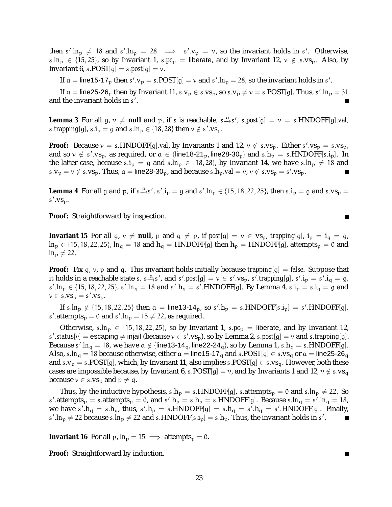then  $s'.ln_p \neq 18$  and  $s'.ln_p = 28 \implies s'.v_p = v$ , so the invariant holds in s'. Otherwise,<br> $s/n_e \in [15, 25]$  so by Invariant 1, s.  $n_e =$  liberate, and by Invariant 12, y d s. ys. Also by s.*ln*<sub>p</sub>  $\in$  {15, 25}, so by Invariant 1, s.*pc*<sub>p</sub> = liberate, and by Invariant 12,  $v \notin s.vs_p$ . Also, by Invariant 6, s.POST[g] = s.*post*[g] =  $\nu$ .

If  $a =$  line15-17<sub>p</sub> then  $s'.v_p = s.POST[g] = v$  and  $s'.ln_p = 28$ , so the invariant holds in s'.

If a = line25-26<sub>p</sub> then by Invariant 11, s.v<sub>p</sub>  $\in$  s.vs<sub>p</sub>, so s.v<sub>p</sub>  $\neq v =$  s.POST[g]. Thus, s'.ln<sub>p</sub> = 31 and the invariant holds in  $s'.$ 

**Lemma 3** For all g,  $v \neq \textbf{null}$  and p, if s is reachable,  $s \xrightarrow{\alpha} s'$ ,  $s.\text{post}[g] = v = s.\text{HNDOFF}[g].\text{val},$ <br>c tranning[a], s i = a and s ln,  $\subset$  {18, 28} then  $v \notin s'$ , ys s.*trapping*[g],  $s.i_p = g$  and  $s.h_p \in \{18, 28\}$  then  $v \notin s'.vs_p$ .

**Proof:** Because  $v = s$ .HNDOFF[g].*val*, by Invariants 1 and 12,  $v \notin s$ .vs<sub>p</sub>. Either s'.vs<sub>p</sub> = s.vs<sub>p</sub>,<br>and so  $v \notin s'$ .vs. as required or  $g \in \text{Jine18-21}$ , line28-30 \ and s h = s HNDOFF[s i \ In and so  $v \notin s'.vs_p$ , as required, or  $a \in \{\text{line18-21}_p, \text{line28-30}_p\}$  and  $s.h_p = s.\text{HNDOFF}[s.i_p]$ . In the latter case, because  $s.i_p = a$  and  $s.h_p \in \{18, 28\}$  by Invariant 14, we have  $s.h_p \neq 18$  and the latter case, because  $s.i_p = g$  and  $s.h_p \in \{18, 28\}$ , by Invariant 14, we have  $s.h_p \neq 18$  and  $s.v_p = v \notin s.vs_p$ . Thus,  $a = \text{line28-30}_p$ , and because  $s.h_p$ .  $val = v$ ,  $v \notin s.vs_p = s'.vs_p$ .

**Lemma 4** For all g and p, if  $s \xrightarrow{\alpha} s'$ ,  $s'.i_p = g$  and  $s'.In_p \in \{15, 18, 22, 25\}$ , then  $s.i_p = g$  and  $s.vs_p = s'$ ,  $v s$  $s'.vs_p.$ 

**Proof:** Straightforward by inspection.

**Invariant 15** For all g,  $v \neq \textbf{null}$ , p and  $q \neq p$ , if  $post[g] = v \in vs_p$ , trapping[g],  $i_p = i_q = g$ ,  $ln_p \in \{15, 18, 22, 25\}$ ,  $ln_q = 18$  and  $h_q = HNDOFF[g]$  then  $h_p = HNDOFF[g]$ , attempts<sub>p</sub> = 0 and  $ln_{p} \neq 22$ .

**Proof:** Fix g, v, p and q. This invariant holds initially because *trapping*[g] = *false*. Suppose that it holds in a reachable state s,  $s \xrightarrow{a} s'$ , and  $s'.post[g] = v \in s'.v s_p$ ,  $s'.trapping[g]$ ,  $s'.i_p = s'.i_q = g$ ,<br> $s' \ln (s')15 - 18/22 \cdot 25 \cdot s' \ln (s - 18/21 \cdot 25)$  and  $s' \ln (s - s')$ . ENDOEE[a] By Lamma A, si = si = g and  $s'.ln<sub>p</sub> ∈ {15, 18, 22, 25}, s'.ln<sub>q</sub> = 18$  and  $s'.ln<sub>q</sub> = s'.HNDOFF[g].$  By Lemma 4,  $s.i<sub>p</sub> = s.i<sub>q</sub> = g$  and  $s'.ln<sub>p</sub> = s'.v$  $v \in s.vs_p = s'.vs_p.$ 

If  $s.h_{\rm p} \notin \{15, 18, 22, 25\}$  then  $a = \text{line}13-14_{\rm p}$ , so  $s'.h_{\rm p} = s.HNDOFF[s.i_{\rm p}]] = s'.HNDOFF[g],$ <br>ttompts  $= 0$  and  $s'.h_{\rm p} = 15 \neq 22$  as required s'.attempts<sub>p</sub> = 0 and s'. $ln_p = 15 \neq 22$ , as required.

Otherwise, s. $ln_p \in \{15, 18, 22, 25\}$ , so by Invariant 1, s. $pc_p =$  liberate, and by Invariant 12,  $s'.status[v] =$  escaping  $\neq$  injail (because  $v \in s'.vs_p$ ), so by Lemma 2, s.*post*[g] = v and s.*trapping*[g].<br>Because  $s'.v_1 = 18$ , we have  $s \notin$  line 13-14 sine 22-24 so by Lemma 1, s.b. = s. HNDOEE(a) Because s'.*ln<sub>q</sub>* = 18, we have  $a \notin \{\text{line13-14}_q, \text{line22-24}_q\}$ , so by Lemma 1, s.h<sub>q</sub> = s.HNDOFF[g].<br>Also s *ln* = 18 because otherwise either  $a = \text{line15-17}$ , and s POST[g]  $\subseteq$  s vs. or  $a = \text{line25-26}$ . Also, s. $ln_q = 18$  because otherwise, either  $a = line15-17_q$  and s.POST[g]  $\in s.vs_q$  or  $a = line25-26_q$ and s.v<sub>q</sub> = s.POST[g], which, by Invariant 11, also implies s.POST[g]  $\in$  s.vs<sub>q</sub>. However, both these cases are impossible because, by Invariant 6, s. POST[g] = v, and by Invariants 1 and 12,  $v \notin s.vs_q$ because  $v \in s.vs_p$  and  $p \neq q$ .

Thus, by the inductive hypothesis,  $s.h_p = s.HNDOFF[g]$ , s.attempts<sub>p</sub> = 0 and  $s.h_p \neq 22$ . So s' attempts<sub>p</sub> = s.attempts<sub>p</sub> = 0, and s'  $h_p = s.h_p = s.HNDOFF[g]$ . Because  $s.h_q = s'.h_q = 18$ ,<br>we have s' h = s h thus s' h = s HNDOFF[g] = s h = s' h = s' HNDOFF[g]. Finally we have  $s'.h_q = s.h_q$ , thus,  $s'.h_p = s.HNDOFF[g] = s.h_q = s'.h_q = s'.HNDOFF[g]$ . Finally,<br> $s'.h_p \neq 22$  because  $s.h_p \neq 22$  and  $s$  HNDOFF $[s, 1] = s.h$ . Thus, the invariant holds in  $s'$  $s'.\ln_p \neq 22$  because  $s.\ln_p \neq 22$  and  $s.\text{HNDOFF}[s.i_p] = s.h_p.$  Thus, the invariant holds in  $s'.$ 

**Invariant 16** For all p,  $ln_p = 15 \implies$  attempts<sub>p</sub> = 0.

**Proof:** Straightforward by induction.

П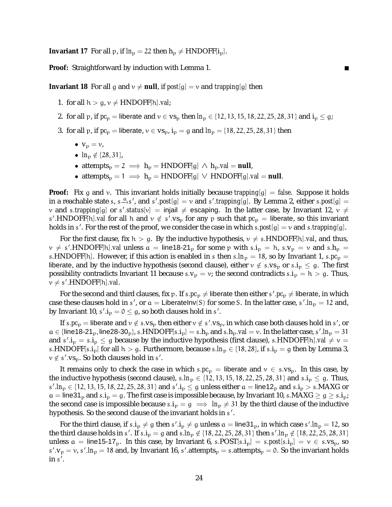**Invariant 17** For all p, if  $ln_p = 22$  then  $h_p \neq HNDOFF[i_p]$ .

**Proof:** Straightforward by induction with Lemma 1.

**Invariant 18** For all g and  $v \neq \textbf{null}$ , if  $post[g] = v$  and  $trapping[g]$  then

- 1. for all  $h > g$ ,  $v \neq HNDOFF[h].val;$
- 2. for all p, if  $pc_p =$  liberate and  $v \in \text{vs}_p$  then  $ln_p \in \{12, 13, 15, 18, 22, 25, 28, 31\}$  and  $i_p \leq g$ ;
- 3. for all p, if  $pc_p =$  liberate,  $v \in vs_p$ ,  $i_p = g$  and  $ln_p = \{18, 22, 25, 28, 31\}$  then
	- $V_p = V$ ,
	- $ln_p \notin \{28, 31\},\$
	- attempts<sub>p</sub> = 2  $\implies$  h<sub>p</sub> = HNDOFF[g]  $\land$  h<sub>p</sub>.*val* = **null**,
	- attempts<sub>p</sub> = 1  $\implies$  h<sub>p</sub> = HNDOFF[g]  $\vee$  HNDOFF[g]*.val* = **null**.

**Proof:** Fix g and v. This invariant holds initially because *trapping*[g] = *false*. Suppose it holds in a reachable state s,  $s\stackrel{\alpha}{\rightarrow} s'$ , and  $s'.post[g] = v$  and s'.*trapping*[g]. By Lemma 2, either s.*post*[g] = v<br>w and s trapping[g] or s' status[y] = injail  $\neq$  escaping. In the latter case, by Invariant 12, y  $\neq$ v and s.*trapping*[g] or s'.*status*[v] = injail  $\neq$  escaping. In the latter case, by Invariant 12,  $v \neq$ <br>s' HNDOEE[b] val for all h and  $v \notin s'$  vs. for any n such that  $nc$  = liberate, so this invariant s'.HNDOFF[h].*val* for all h and  $v \notin s'$ . $vs_p$  for any p such that  $pc_p =$  liberate, so this invariant holds in  $s'$ . For the rest of the proof, we consider the case in which s neet[a] = y and s tranning[a] holds in s'. For the rest of the proof, we consider the case in which s.*post*[g] = v and s.*trapping*[g].

For the first clause, fix  $h > g$ . By the inductive hypothesis,  $v \neq s$ .HNDOFF[h].*val*, and thus,  $v \neq s'$ .HNDOFF[h].*val* unless  $a = \text{line18-21}_p$  for some p with  $s.i_p = h$ ,  $s.v_p = v$  and  $s.h_p = h$ .<br>  $s \in \text{HNDOEF[k]}$ . However, if this action is enabled in s then  $s/h = 18$ , so by Invariant 1, s. no. s.HNDOFF[h]. However, if this action is enabled in s then s.ln<sub>p</sub> = 18, so by Invariant 1, s.pc<sub>p</sub> = liberate, and by the inductive hypothesis (second clause), either  $v \notin s.vs_p$  or  $s.i_p \leq g$ . The first possibility contradicts Invariant 11 because s.v<sub>p</sub> = v; the second contradicts s.i<sub>p</sub> = h > g. Thus,  $v \neq s'$ .HNDOFF[h].*val*.

For the second and third clauses, fix p. If  $s.pc_p \neq$  liberate then either  $s'.p c_p \neq$  liberate, in which<br>a those clauses hold in  $s'$ , or  $a = 1$  iberatelpy(S) for some S. In the latter case,  $s'$ ,  $lr = 12$  and case these clauses hold in s', or  $a =$  Liberatelnv(S) for some S. In the latter case, s',  $ln_p = 12$  and,  $ln_l$  is  $l = 0 \le a$ , so both clauses hold in s' by Invariant 10,  $s'.i_p = 0 \le g$ , so both clauses hold in s'.

If s.*pc*<sub>p</sub> = liberate and  $v \notin s$ .vs<sub>p</sub> then either  $v \notin s'.vs_p$ , in which case both clauses hold in s', or <br>Slipe18-21 slipe28-30 so HNDOEE<sup>[c i ]</sup> = c b and c b vzl = y In the latter case s' ln = 31  $a \in \{\text{line18-21}_p, \text{line28-30}_p\}$ , s.HNDOFF[s.i<sub>p</sub>] = s.h<sub>p</sub> and s.h<sub>p</sub>.*val* = *v*. In the latter case, s'.ln<sub>p</sub> = 31<br>and s' i = s i < a because by the inductive bypothesis (first clause) s HNDOFF[b] val  $\neq y$  = and  $s'.i_p = s.i_p \le g$  because by the inductive hypothesis (first clause), s.HNDOFF[h].*val*  $\neq v =$ <br>c HNDOFF[c i ] for all  $h > g$ . Furthermore, because s *ln . 6* [18, 28] if s i . – *a* then by Lemma 3. s.HNDOFF[s.i<sub>p</sub>] for all  $h>g$ . Furthermore, because s. $ln_p \in \{18, 28\}$ , if s.i<sub>p</sub> = g then by Lemma 3,  $v \notin s'.vs_p.$  So both clauses hold in s'.

It remains only to check the case in which  $s.p c_p =$  liberate and  $v \in s.v s_p$ . In this case, by the inductive hypothesis (second clause), s. $ln_p \in \{12, 13, 15, 18, 22, 25, 28, 31\}$  and s.i<sub>p</sub>  $\leq$  g. Thus,  $s'.\ln_p \in \{12, 13, 15, 18, 22, 25, 28, 31\}$  and  $s'.i_p \leq g$  unless either  $a = \text{line12}_p$  and  $s.i_p > s.\text{MAXG}$  or  $a = \text{line31}_{\text{max}}$  $a =$  line31<sub>p</sub> and s.i<sub>p</sub> = g. The first case is impossible because, by Invariant 10, s.MAXG  $\geq g \geq s.i_p$ ; the second case is impossible because  $s.i_p = g \implies ln_p \neq 31$  by the third clause of the inductive hypothesis. So the second clause of the invariant holds in  $s'$ .

For the third clause, if  $s.i_p \neq g$  then  $s'.i_p \neq g$  unless  $a = \text{line31}_p$ , in which case  $s'.In_p = 12$ , so third clause holds in  $s'.$  If  $s.i_p = a$  and  $sIn_p \notin \{18, 22, 25, 28, 31\}$ the third clause holds in s'. If s.i<sub>p</sub> = g and s.ln<sub>p</sub> ∉ {18, 22, 25, 28, 31} then s'.ln<sub>p</sub> ∉ {18, 22, 25, 28, 31}<br>upless a = line15-17 In this case, by Invariant 6, s POST[s i ] = s nest[s i ] = y ∈ s vs. so unless a = line15-17<sub>p</sub>. In this case, by Invariant 6, s.POST[s.i<sub>p</sub>] = s.post[s.i<sub>p</sub>] =  $v \in s.vs_p$ , so  $s'.v_p = v$ ,  $s'.\ln_p = 18$  and, by Invariant 16, s'.attempts<sub>p</sub> = s.attempts<sub>p</sub> = 0. So the invariant holds in  $s'.$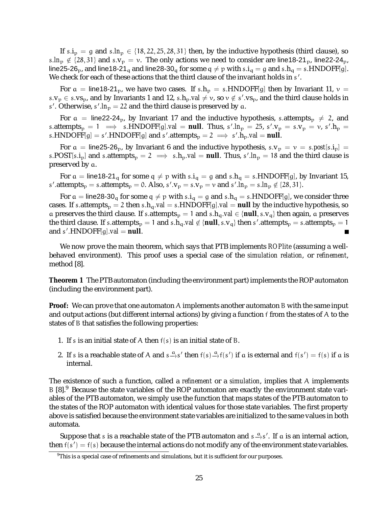If  $s.i_p = g$  and  $s.h_p \in \{18, 22, 25, 28, 31\}$  then, by the inductive hypothesis (third clause), so s. $ln_p \notin \{28, 31\}$  and s.v<sub>p</sub> = v. The only actions we need to consider are line18-21<sub>p</sub>, line22-24<sub>p</sub>, line25-26<sub>p</sub>, and line18-21<sub>q</sub> and line28-30<sub>q</sub> for some  $q \neq p$  with s.i<sub>q</sub> = g and s.h<sub>q</sub> = s.HNDOFF[g]. We check for each of these actions that the third clause of the invariant holds in  $s'$ .

For a = line18-21<sub>p</sub>, we have two cases. If s.h<sub>p</sub> = s.HNDOFF[g] then by Invariant 11,  $v =$  $s.v_p \in s.v_p$ , and by Invariants 1 and 12,  $s.h_p.val \neq v$ , so  $v \notin s'.vs_p$ , and the third clause holds in  $s'$ . Otherwise  $s'/h = 22$  and the third clause is preserved by  $s$ . s'. Otherwise, s'. $ln_p = 22$  and the third clause is preserved by a.

For a = line22-24<sub>p</sub>, by Invariant 17 and the inductive hypothesis, s.attempts<sub>p</sub>  $\neq$  2, and s.attempts<sub>p</sub> = 1  $\implies$  s.HNDOFF[g].*val* = **null**. Thus, s'.ln<sub>p</sub> = 25, s'.v<sub>p</sub> = s.v<sub>p</sub> = v, s'.h<sub>p</sub> = s.Hp<sub>p</sub> = s.v<sub>p</sub> = v, s'.h<sub>p</sub> = s.Hp<sub>p</sub> = s.V<sub>p</sub> = s.v<sub>p</sub> = v, s'.h<sub>p</sub> = s.Hp<sub>p</sub> = s.V<sub>p</sub> = s.V<sub>p</sub> = s.V<sub>p</sub> = s.V<sub>p</sub>  $s.\text{HNDOFF}[g] = s'.\text{HNDOFF}[g] \text{ and } s'.\text{ attempts}_{p} = 2 \implies s'.\text{h}_{p}.\text{val} = \text{null}.$ 

For a = line25-26<sub>p</sub>, by Invariant 6 and the inductive hypothesis,  $s.v_p = v = s.post[s.i_p] =$ s.POST[s.i<sub>p</sub>] and s.attempts<sub>p</sub> = 2  $\implies$  s.h<sub>p</sub>.*val* = **null**. Thus, s'.*ln*<sub>p</sub> = 18 and the third clause is preserved by a.

For a = line18-21<sub>q</sub> for some  $q \neq p$  with s.i<sub>q</sub> = g and s.h<sub>q</sub> = s.HNDOFF[g], by Invariant 15, s'.attempts<sub>p</sub> = s.attempts<sub>p</sub> = 0. Also, s'. $v_p = s \cdot v_p = v$  and s'. $ln_p = s \cdot ln_p \notin \{28, 31\}$ .

For a = line28-30<sub>q</sub> for some  $q \neq p$  with s.i<sub>q</sub> = g and s.h<sub>q</sub> = s.HNDOFF[g], we consider three cases. If s.attempts<sub>p</sub> = 2 then s.h<sub>q</sub>.*val* = s.HNDOFF[g].*val* = **null** by the inductive hypothesis, so a preserves the third clause. If s.attempts<sub>p</sub> = 1 and s.h<sub>q</sub>.*val*  $\in$  {**null**, s.v<sub>q</sub>} then again, a preserves the third clause. If s.attempts<sub>p</sub> = 1 and s.h<sub>q</sub>.*val*  $\notin$  {**null**, s.v<sub>q</sub>} then s'.attempts<sub>p</sub> = s.attempts<sub>p</sub> = 1 and s' HNDOEE[a] val = **null** and  $s'$ .HNDOFF[g].*val* = **null**.

We now prove the main theorem, which says that PTB implements *ROPlite* (assuming a wellbehaved environment). This proof uses a special case of the *simulation relation*, or *refinement*, method [8].

**Theorem 1** The PTB automaton (including the environment part) implements the ROP automaton (including the environment part).

**Proof:** We can prove that one automaton A implements another automaton B with the same input and output actions (but different internal actions) by giving a function f from the states of A to the states of B that satisfies the following properties:

- 1. If s is an initial state of A then  $f(s)$  is an initial state of B.
- 2. If s is a reachable state of A and  $s \stackrel{\alpha}{\rightarrow} s'$  then  $f(s) \stackrel{\alpha}{\rightarrow} f(s')$  if a is external and  $f(s') = f(s)$  if a is internal internal.

The existence of such a function, called a *refinement* or a *simulation*, implies that A implements B [8].<sup>9</sup> Because the state variables of the ROP automaton are exactly the environment state variables of the PTB automaton, we simply use the function that maps states of the PTB automaton to the states of the ROP automaton with identical values for those state variables. The first property above is satisfied because the environment state variables are initialized to the same values in both automata.

Suppose that s is a reachable state of the PTB automaton and  $s\stackrel{\alpha}{\rightarrow}s'$ . If a is an internal action,<br>p  $f(s') = f(s)$  because the internal actions do not modify any of the environment state variables. then  $f(s') = f(s)$  because the internal actions do not modify any of the environment state variables.

 $9$ This is a special case of refinements and simulations, but it is sufficient for our purposes.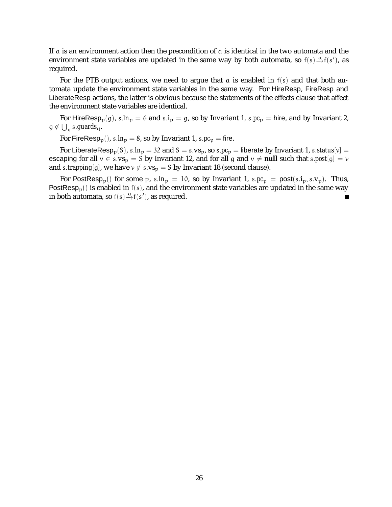If a is an environment action then the precondition of a is identical in the two automata and the environment state variables are updated in the same way by both automata, so  $f(s) \stackrel{\alpha}{\rightarrow} f(s')$ , as required required.

For the PTB output actions, we need to argue that  $\alpha$  is enabled in  $f(s)$  and that both automata update the environment state variables in the same way. For HireResp, FireResp and LiberateResp actions, the latter is obvious because the statements of the effects clause that affect the environment state variables are identical.

For HireResp<sub>p</sub>(g), s. $ln_p = 6$  and s.i<sub>p</sub> = g, so by Invariant 1, s.pc<sub>p</sub> = hire, and by Invariant 2,  $g \notin \bigcup_{q} s.guards_q.$ 

For FireResp<sub>p</sub>(), s. $ln_p = 8$ , so by Invariant 1, s. $pc_p =$  fire.

For LiberateResp<sub>p</sub>(S), s.ln<sub>p</sub> = 32 and S = s.vs<sub>p</sub>, so s.pc<sub>p</sub> = liberate by Invariant 1, s.status[v] = escaping for all  $v \in s.vs_p = S$  by Invariant 12, and for all g and  $v \neq \textbf{null}$  such that  $s.post[g] = v$ and s.trapping[g], we have  $v \notin s.vs_p = S$  by Invariant 18 (second clause).

For PostResp<sub>p</sub>() for some p, s.ln<sub>p</sub> = 10, so by Invariant 1, s.pc<sub>p</sub> = post(s.i<sub>p</sub>, s.v<sub>p</sub>). Thus, PostResp<sub>p</sub>() is enabled in f(s), and the environment state variables are updated in the same way in both automata, so f(s)  $\frac{a}{r}f(s')$ , as required. in both automata, so  $f(s) \rightarrow^{\alpha} f(s')$ , as required.